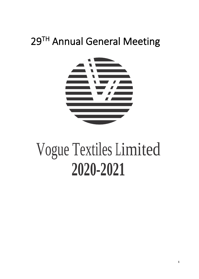## 29<sup>TH</sup> Annual General Meeting



# Vogue Textiles Limited **2020-2021**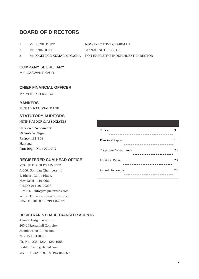## **BOARD OF DIRECTORS**

- 
- 
- 1 Mr. SUNIL DUTT NON-EXECUTIVE CHAIRMAN

2 Mr. ANIL DUTT MANAGING DIRECTOR

3 Mr. JOGENDER KUMAR MINOCHA NON-EXECUTIVE INDEPENDENT DIRECTOR

## **COMPANY SECRETARY**

Mrs. JASWANT KAUR

## **CHIEF FINANCIAL OFFICER**

Mr. YOGESH KALRA

## **BANKERS**

PUNJAB NATIONAL BANK

## **STATUTORY AUDITORS**

NITIN KAPOOR & ASSOCIATES

Chartered Accountants 79, Sukhdev Nagar, Panipat- 132 1 03 Haryana Firm Regn. No. : 021107N

## **REGISTERED CUM HEAD OFFICE**

VOGUE TEXTILES LIMITED A-206, Somdatt Chambers - I, 5, Bhikaji Cama Place, New Delhi - 110 066. PH.NO-011-26170298 E-MAIL : [info@voguetextiles.com](mailto:info@voguetextiles.com) WEBSITE: [www.voguetextiles.com](http://www.voguetextiles.com/) CIN-U18101DL1992PLC049370

## **REGISTRAR & SHARE TRANSFER AGENTS**

Alankit Assignments Ltd. 205-208,Anarkali Complex Jhandewalan Extension, New Delhi-110055 Ph. No - 23541234, 42541955 E-MAIL : [info@alankit.com](mailto:info@alankit.com) CIN : U74210DL1991PLC042569

| Notice               | 3  |
|----------------------|----|
|                      |    |
| Directors' Report    | 6  |
| Corporate Governance |    |
|                      |    |
| Auditor's Report     | 23 |
|                      |    |
| Annual Accounts      | 28 |
|                      |    |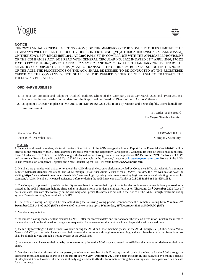Vogue

## **NOTICE**

THE **29 TH** ANNUAL GENERAL MEETING ('AGM') OF THE MEMBERS OF THE VOGUE TEXTILES LIMITED ("THE COMPANY') WILL BE HELD THROUGH VIDEO CONFERENCING [(VC)/OTHER AUDIO-VISUAL MEANS (OAVM)] ON **THURSDAY, 30 TH DECEMBER 2021 AT 02:00 P.M**. (IST) IN COMPLIANCE WITH THE APPLICABLE PROVISIONS OF THE COMPANIES ACT, 2013 READ WITH GENERAL CIRCULAR NO. **14/2020** DATED 08TH APRIL 2020**, 17/2020** DATED 13TH APRIL 2020**,** 20/2020 DATED 05TH MAY 2020 AND 02/2021 DATED 13TH JANUARY 2021 ISSUED BY THE MINISTRY OF CORPORATE AFFAIRS (MCA) TO TRANSACT THE ORDINARY BUSINESS SET OUT IN THE NOTICE OF THE AGM. THE PROCEEDINGS OF THE AGM SHALL BE DEEMED TO BE CONDUCTED AT THE REGISTERED OFFICE OF THE COMPANY WHICH SHALL BE THE DEEMED VENUE OF THE AGM TO TRANSACT THE FOLLOWING BUSINESS:-

### **ORDINARY BUSINESS**

- 1. To receive, consider and adopt the Audited Balance Sheet of the Company as at 31<sup>st</sup> March 2021 and Profit & Loss Account forthe year ended on that date and the Reports ofthe Board of Directors' and Auditors' thereon.
- 2. To appoint a Director in place of Mr. Anil Dutt (DIN 01568921) who retires by rotation and being eligible, offers himself for re-appointment.

By Order of the Board For **Vogue Textiles Limited**

 $S/d$ -

Place: New Delhi **JASWANT KAUR** Date: 01<sup>st</sup> December 2021

Company Secretary

### **NOTES**

1. Pursuant to aforesaid circulars, electronic copies of the Notice of the AGM along-with Annual Report for the Financial Year **2020-21** will be sent to all the members whose E-mail addresses are registered with the Depository Participant(s), Company (in case of shares held in physical form).The dispatch of Notice of the AGM along with Annual Report through e-mails be completed on **08 th December 2021**.The Notice of AGM and the Annual Report for the Financial Year **2020-21** are available on the Company's website at **[https://voguetextiles.com](https://voguetextiles.com/)**. Notice of the AGM is also available on Company's Registrar and Share Transfer Agent (RTA) website **https://www.alankit.com.**

2. Members are provided with a facility to attend the AGM through electronic platform provided by Company's RTA viz. Alankit Assignments Limited (Alankit).Members can attend The AGM through [(VC)/Other Audio-Visual Means (OAVM)] to view the live web cast of AGM by visiting **https://www.alankit.com** under shareholder/members login by using their remote e-voting login credentials and selecting the event for Company's AGM. Members who need assistance before or during the AGM may contact Alankit at **011-23541234 or 011-42541955**.

3. The Company is pleased to provide the facility to members to exercise their right to vote by electronic means on resolutions proposed to be passed at the AGM. Members holding share either in physical form or in dematerialized form as on **Thursday, 23rd December 2021** (Cut-off date), can cast their vote electronically on the Ordinary and Special Businesses as set out in the Notice of the AGM through electronic voting system ("remote e-voting") as provided by NSDL.

4. The remote e-voting facility will be available during the following voting period: commencement of remote e-voting from **Monday**,  $27<sup>th</sup>$ **December 2021 at 9:00 A.M. (IST)** and to end of remote e-voting up-to **Wednesday, 29 thDecember 2021 at 5:00 P.M. (IST)**

5. Members may note that:

a) the remote e-voting module will be disabled by NSDL after the aforesaid dates and time and once the vote on a resolution is cast by the member, the member shall not be allowed to change it subsequently. Remote e-voting shall not be allowed beyond the said date and time.

b) the facility for voting will also be made available during the AGM and those members present in the AGM through [(VC)/Other Audio-Visual Means (OAVM)]facility, who have not cast their vote on the resolutions through remote e-voting, and are otherwise not barred from doing so**,**  shall be eligible to vote through e-voting system at the AGM; and

c) the members who have cast their vote by remote e-voting prior to the AGM may also attend the AGM but shall not be entitled to cast their vote again.

6. Members are hereby informed that any person, who becomes member of this Company after dispatch of the Notice for the AGM through the electronic means and holding shares as on the cut-off date viz. **23rd December 2021**, can obtain the login ID and password by sending a request at info@alankit.com. However, if a person is already registered with **Alankit** for remote e-voting then existing user ID and password can be used for casting vote.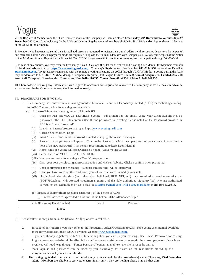



7. The Register of Members and the Share Transfer books of the Company will remain closed from **Friday, 24<sup>h</sup> December to Wednessday, 29<sup>h</sup> December 2021**(both days inclusive) for the AGM and determining the names of members eligible for final Dividend on Equity shares, if declared at the AGM of the Company.

8. Members who have not registered their E-mail addresses are requested to register their e-mail address with respective depository Participant(s) and members holding shares in physical mode are requested to upload their e-mail addresses with Company's RTA, to receive copies of the Notice of the AGM and Annual Report for the Financial Year 2020-21 together-with instruction for e-voting and participation through VC/OAVM.

9. In case of any queries, you may refer the Frequently Asked Questions (FAQs) for Members and e-voting User Manual for Members available in the downloads section of **[https://www.evoting.nsdl.com,](https://www.evoting.nsdl.com/)** Company's Registrar toll free Number **011-23541234** or send an E-mail to **[rta@alankit.com.](mailto:rta@alankit.com)** Any grievances connected with the remote e-voting, attending the AGM through VC/OAV Mode, e-voting during the AGM may be addressed to Mr. **J.K. SINGLA,** Manager - Corporate Registry (Unit: Vogue Textiles Limited) **Alankit Assignments Limited, 205-208, Anarkali Complex, Jhandewalan Extension, New Delhi-110055. Contact Nos. 011-23541234 or 011-42541955.**

10**.** Shareholders seeking any information with regard to accounts are requested to write to the company at least 7 days in advance, so as to enable the Company to keep the information ready.

### 11**. PROCEDUREFOR E-VOTING**

- 1. The Company has entered into an arrangement with National Securities Depository Limited (NSDL) for facilitating e-voting for AGM. The instruction for e-voting are as under:-
	- (a) In case of Members receiving an e-mail from NSDL.
		- (i) Open the PDF file VOGUE TEXTILES e-voting pdf attached to the email, using your Client ID/Folio No. as password. The PDF file contains User ID and password for e-voting Please note that the Password provided in PDF is an "Initial Password"
		- (ii) Launch an internet browser and open https:[//www.evoting.nsdl.com](http://www.evoting.nsdl.com/)
		- (iii) Click on Shareholder- Login
		- (iv) Insert "User ID" and Initial Password as noted in step (i) above and click login
		- (v) Password change menu will appear, Change the Password with a new password of your choice. Please keep a note ofthe new password, It is strongly recommended to keep it confidential.
		- (vi) Home page of e-voting will open, Click on e-voting Active Voting Cycles.
		- (vii) Select EVEN of VOGUE TEXTILES 118902.
		- (viii) Now you are ready for e-voting as'Cast Vote'-page open.
		- (ix) Cast your vote by selecting appropriate option and click on 'submit'. Click on confirm when prompted.
		- (x) Upon confirmation the message "Vote cast successfully" will be displayed.
		- (xi) Once you have voted on the resolution, you will not be allowed to modify your vote.
		- (xii) Institutional shareholders (i.e.. other than individual, HUF, NRI, etc.) are required to send scanned copy (PDF/JPG)along with attested specimen signature of the duly authorized signatory(ies) who are authorized to vote, to the Scrutinizer by an e-mail at [aijazfcs@gmail.com with a copy marked to e](mailto:aijazfcs@gmail.com%20%20with%20a%20copy%20marked%20to)voting@nsdl.co.in.
		- (b) In case of shareholders receiving email copy of the Notice of AGM:

(i) Initial Password is provided, asfollows at the bottom ofthe Attendance Slip.d

| EVEN (E_-Voting Event Number) | "Jser Id | Password |  |
|-------------------------------|----------|----------|--|
| 18902                         |          |          |  |

- (ii) Please follow all steps from Sr. No- $(i)$  to Sr. No- $(xii)$  above to cast vote.
	- 2. In case of any queries, you may refer to the Frequently Asked Questions (FAQs) and e-voting user manual available in the downloads section of NSDL's e-voting website [www.evoting.nsdl.com.](http://www.evoting.nsdl.com./)
	- 3. If you are already registered with NSDL for e-voting then you can use your existing User ID and Password for casting
	- 4. Login to e-voting website will be disabled upon five unsuccessful attempts to key-in the correct password, in such an event you will need to go through " Forgot Password" option available on the site to reset the same.
	- 5. Your login id and password can be used by you exclusively for e-vote on the resolutions placed by the companiesin which you are shareholder.
	- 6. The voting rights shall be as per number of equity shares held by the member(s) as on **Thursday, 23rd December 2021**. Members are eligible to cast vote electronically only if they are holding shares as on that date.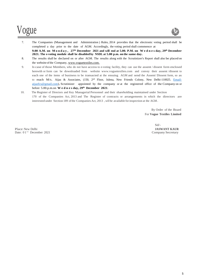

- 7. The Companies (Management and Administration ) Rules, 2014 provides that the electronic voting period shall be completed a day prior to the date of AGM. Accordingly, the voting period shall commence at **9.00 A.M. on M o n d a y , 27 th December 2021 and will end at 5.00. P.M. on W e d n e s day, 29th December 2021. The e-voting module shall be disabled by NSDL at 5.00 p.m. on the same day.**
- 8. The results shall be declared on or after AGM. The results along with the Scrutinizer's Report shall also be placed on the website of the Company[, www.voguetextiles.com.](http://www.voguetextiles.com/)
- 9. In case of those Members, who do not have access to e-voting facility, they can use the assent / dissent form enclosed herewith or form can be downloaded from website [www.voguetextlies.com and convey their assent](http://www.voguetextlies.com/) /dissent to each one of the items of business to be transacted at the ensuing AGM and send the Assent/ Dissent form, so as to reach M/s. Aijaz & Associates, (150, 2<sup>nd</sup> Floor, Julena, New Friends Colony, New Delhi-110025. [Email](mailto:Email-aijazfcs@gmail.com)[aijazfcs@gmail.com\)](mailto:Email-aijazfcs@gmail.com), Scrutinizer appointed by the company or at the registered office of the Company on or before 5.00.p.m.on **W e d n e s day, 29th December 2021**.
- 10. The Register of Directors and Key Managerial Personnel and their shareholding maintained under Section 170 of the Companies Act, 2013 and The Register of contracts or arrangements in which the directors are interested under Section 189 ofthe Companies Act, 2013 , will be available forinspection at the AGM .

By Order of the Board For **Vogue Textiles Limited**

Place: New Delhi **JASWANT KAUR**<br>
Date: 01<sup>st</sup> December 2021 Company Secretary Date:  $01<sup>st</sup>$  December 2021

Sd/-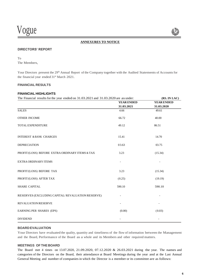

## **ANNEXURES TO NOTICE**

## **DIRECTORS' REPORT**

To The Members,

Your Directors present the 29<sup>th</sup> Annual Report of the Company together with the Audited Statements of Accounts for the financial year ended 31st March 2021.

## **FINANCIAL RESULTS**

## **FINANCIAL HIGHLIGHTS**

| The Financial results for the year ended on 31.03.2021 and 31.03.2020 are as under: | (RS. IN LAC)      |            |  |
|-------------------------------------------------------------------------------------|-------------------|------------|--|
|                                                                                     | <b>YEAR ENDED</b> | YEAR ENDED |  |
|                                                                                     | 31.03.2021        | 31.03.2020 |  |
| <b>SALES</b>                                                                        | 4.66              | 49.61      |  |
| <b>OTHER INCOME</b>                                                                 | 66.72             | 40.00      |  |
| TOTAL EXPENDITURE                                                                   | 49.12             | 86.51      |  |
| <b>INTEREST &amp; BANK CHARGES</b>                                                  | 15.41             | 14.70      |  |
| <b>DEPRECIATION</b>                                                                 | 03.63             | 03.75      |  |
| PROFIT/(LOSS) BEFORE EXTRA ORDINARY ITEMS & TAX                                     | 3.23              | (15.34)    |  |
| <b>EXTRA ORDINARY ITEMS</b>                                                         |                   |            |  |
| PROFIT/(LOSS) BEFORE TAX                                                            | 3.23              | (15.34)    |  |
| PROFIT/(LOSS) AFTER TAX                                                             | (0.25)            | (19.19)    |  |
| SHARE CAPITAL                                                                       | 590.10            | 590.10     |  |
| RESERVES (EXCLUDING CAPITAL/REVALUATION RESERVE)                                    |                   |            |  |
| REVALUATION RESERVE                                                                 |                   |            |  |
| <b>EARNING PER SHARES (EPS)</b>                                                     | (0.00)            | (0.03)     |  |
| <b>DIVIDEND</b>                                                                     |                   |            |  |

## **BOARD EVALUATION**

Your Directors have evaluated the quality, quantity and timeliness of the flow of information between the Management and the Board, Performance of the Board as a whole and its Members and other required matters.

## **MEETINGS OFTHE BOARD**

The Board met 4 times on 13.07.2020, 21.09.2020, 07.12.2020 & 26.03.2021 during the year. The names and categories of the Directors on the Board, their attendance at Board Meetings during the year and at the Last Annual General Meeting and number of companies in which the Director is a member or its committee are as follows: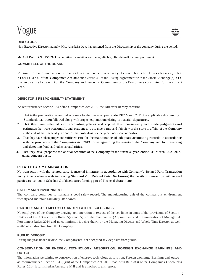## **DIRECTORS**

Non-Executive Director, namely Mrs. Akanksha Dutt, has resigned from the Directorship of the company during the period.

Mr. Anil Dutt (DIN 01568921) who retires by rotation and being eligible, offers himself forre-appointment.

## **COMMITTEESOFTHEBOARD**

Pursuant to the compulsory delisting of our company from the stock exchange, the p r o v i s i o n s of the Companies Act 2013 and Clause 49 of the Listing Agreement with the Stock Exchange(s) a r e no more relevant to the Company and hence, no Committees of the Board were constituted for the current year.

## **DIRECTOR'S RESPONSIBILTY STATEMENT**

As required under section 134 of the Companies Act, 2013, the Directors hereby confirm:

- 1. That in the preparation of annual accounts for the financial year ended  $31<sup>st</sup>$  March 2021 the applicable Accounting Standards had been followed along with proper explanation relating to material departures.
- 2. That they have selected such accounting policies and applied them consistently and made judgments and estimatesthat were reasonable and prudent so asto give a true and fair view of the state of affairs of the Company at the end of the financial year and of the profit /loss for the year under consideration.
- 3. That they have taken proper and sufficient care for the maintenance of adequate accounting records in accordance with the provisions of the Companies Act, 2013 for safeguarding the assets of the Company and for preventing and detecting fraud and other irregularities.
- 4. That they have prepared the annual accounts of the Company for the financial year ended  $31<sup>st</sup>$  March, 2021 on a going concern basis.

## **RELATED PARTYTRANSACTION**

No transaction with the related party is material in nature, in accordance with Company's Related Party Transaction Policy in accordance with Accounting Standard -18 (Related Party Disclosures) the details of transaction with related parties are set out in Schedule C of disclosuresforming part of Financial Statements.

## **SAFETY AND ENVIRONMENT**

The company continues to maintain a good safety record. The manufacturing unit of the company is environment friendly and maintains allsafety standards.

## **PARTICULARS OF EMPLOYEES AND RELATED DISCLOSURES**

No employee of the Company drawing remuneration in excess of the set limits in terms of the provisions of Section 197(12) of the Act read with Rules 5(2) and 5(3) of the Companies (Appointment and Remuneration of Managerial Personnel) Rules, 2014 and no commission is being drawn by the Managing Director and Whole Time Director as well asthe other directorsfrom the Company.

## **PUBLIC DEPOSIT**

During the year under review, the Company has not accepted any deposits from public.

## **CONSERVATION OF ENERGY, TECHNOLOGY ABSORPTION, FOREIGN EXCHANGE EARNINGS AND OUTGO**

The information pertaining to conservation of energy, technology absorption, Foreign exchange Earnings and outgo as required under Section 134 (3)(m) of the Companies Act, 2013 read with Rule 8(3) of the Companies (Accounts) Rules, 2014 is furnished in Annexure I & II and is attached to this report.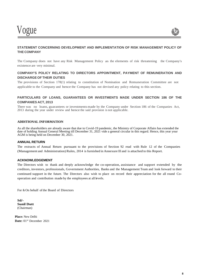

## **STATEMENT CONCERNING DEVELOPMENT AND IMPLEMENTATION OF RISK MANAGEMENT POLICY OF THE COMPANY**

The Company does not have any Risk Management Policy as the elements of risk threatening the Company's existence are very minimal.

## **COMPANY'S POLICY RELATING TO DIRECTORS APPOINTMENT, PAYMENT OF REMUNERATION AND DISCHARGE OF THEIR DUTIES**

The provisions of Section 178(1) relating to constitution of Nomination and Remuneration Committee are not applicable to the Company and hence the Company has not devised any policy relating to this section.

## **PARTICULARS OF LOANS, GUARANTEES OR INVESTMENTS MADE UNDER SECTION 186 OF THE COMPANIES ACT, 2013**

There was no loans, guarantees or investmentsmade by the Company under Section 186 of the Companies Act, 2013 during the year under review and hence the said provision is not applicable.

## **ADDITIONAL INFORMATION**

 As all the shareholders are already aware that due to Covid-19 pandemic, the Ministry of Corporate Affairs has extended the date of holding Annual General Meeting till December 31, 2021 vide a general circular in this regard. Hence, this year your AGM is being held on December 30, 2021.

## **ANNUAL RETURN**

The extracts of Annual Return pursuant to the provisions of Section 92 read with Rule 12 of the Companies (Management and Administration) Rules, 2014 is furnished in Annexure III and is attached to this Report.

## **ACKNOWLEDGEMENT**

The Directors wish to thank and deeply acknowledge the co-operation, assistance and support extended by the creditors, investors, professionals, Government Authorities, Banks and the Management Team and look forward to their continued support in the future. The Directors also wish to place on record their appreciation for the all round Cooperation and contribution made by the employees at all levels.

For & On behalf of the Board of Directors

**Sd/- Sunil Dutt** (Chairman)

**Place:** New Delhi Date: 01<sup>st</sup> December 2021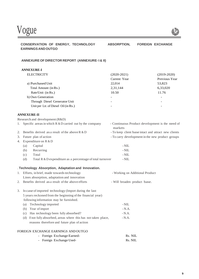Vogue



**CONSERVATION OF ENERGY, TECHNOLOGY EARNINGSANDOUTGO ABSORPTION, FOREIGN EXCHANGE ANNEXURE OF DIRECTOR REPORT (ANNEXURE- I & II) ANNEXURE-I ELECTRICITY** (2020-2021) (2019-2020) a) Purchased Unit Current Year 22,014 Previous Year 53,823 Total Amount (in Rs.) 2,31,144 6,33,020 Rate/Unit (in Rs.) 10.50 11.76 b) Own Generation Through Diesel Generator Unit - - Unit per Ltr. of Diesel Oil (in Rs.) **ANNEXURE-II** Research and development (R&D) 1. Specific areas in which R & D carried out by the company - Continuous Product development is the need of markets 2. Benefits derived as a result of the above  $R \& D$  - To keep client base intact and attract new clients 3. Future plan of action  $\overline{ }$  - To carry development in the new product groups 4. Expenditure on R & D (a) Capital - NIL (b) Recurring - NIL (c) Total - NIL (d) Total  $R \& D$  expenditure as a percentage of total turnover - NIL . **Technology Absorption, Adaptation and Innovation.** 1. Efforts, in brief, made towards technology - Working on Additional Product Lines absorption, adaptation and innovation 2. Benefits derived as a result of the above efforts - Will broaden product base. 3. In case of imported technology (Import during the last 5 years reckoned from the beginning of the financial year) following information may be furnished. (a) Technology imported - NIL (b) Year of import - N.A. (c) Has technology been fully absorbed? - N.A. (d) If not fully absorbed, areas where this has not taken place, -N.A. reasons therefore and future plan of action FOREIGN EXCHANGE EARNINGS AND OUTGO - Foreign Exchange Earned- Rs. NIL - Foreign Exchange Used- Rs. NIL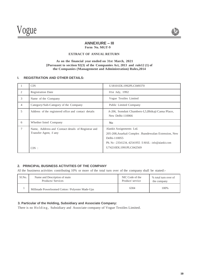Vogue



## **ANNEXURE – III Form No. MGT-9**

### **EXTRACT OF ANNUAL RETURN**

## **As on the financial year ended on 31st March, 2021 [Pursuant to section 92(3) of the Companies Act, 2013 and rule12 (1) of the Companies (Management and Administration) Rules,2014**

## **I. REGISTRATION AND OTHER DETAILS:**

|                | <b>CIN</b>                                                                           | U18101DL1992PLC049370                                                                                                                                                             |
|----------------|--------------------------------------------------------------------------------------|-----------------------------------------------------------------------------------------------------------------------------------------------------------------------------------|
| 2              | <b>Registration Date</b>                                                             | 01st July, 1992                                                                                                                                                                   |
| 3              | Name of the Company                                                                  | Vogue Textiles Limited                                                                                                                                                            |
| $\overline{4}$ | Category/Sub-Category of the Company                                                 | Public Limited Company                                                                                                                                                            |
| 5              | Address of the registered office and contact details                                 | A-206, Somdutt Chambers-I, 5, Bhikaji Cama Place,<br>New Delhi-110066                                                                                                             |
| 6              | Whether listed Company                                                               | N <sub>o</sub>                                                                                                                                                                    |
|                | Name, Address and Contact details of Registrar and<br>Transfer Agent, if any<br>CIN: | Alankit Assignments Ltd.<br>205-208, Anarkali Complex Jhandewalan Extension, New<br>Delhi-110055<br>Ph. No - 23541234, 42541955 E-MAIL: info@alankit.com<br>U74210DL1991PLC042569 |

## **2. PRINCIPAL BUSINESS ACTIVITIES OF THE COMPANY**

All the business activities contributing 10% or more of the total turn over of the company shall be stated:-

| Sl.No. | Name and Description of main                     | NIC Code of the | % total turn over of |
|--------|--------------------------------------------------|-----------------|----------------------|
|        | Products/Services                                | Product/service | the company          |
|        | Millmade Powerloomed Cotton / Polyester Made-Ups | 6304            | 100%                 |

## **3. Particular of the Holding, Subsidiary and Associate Company:**

There is no Holding, Subsidiary and Associate company of Vogue Textiles Limited.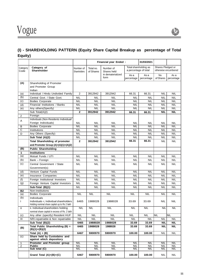## **(I) - SHAREHOLDING PATTERN (Equity Share Capital Breakup as percentage of Total Equity)**

|                  |                                                                                                         |                           | <b>Financial year Ended:</b> |                           |                                                | 31/03/2021         |                          |                      |
|------------------|---------------------------------------------------------------------------------------------------------|---------------------------|------------------------------|---------------------------|------------------------------------------------|--------------------|--------------------------|----------------------|
| Category<br>Code | Category of<br><b>Shareholder</b>                                                                       | Number of<br>Shareholders | Total no.<br>of Shares       | Number of<br>Shares held  | Total shareholding as<br>a percentage of total |                    | Shares Pledged or        | otherwise encumbered |
|                  |                                                                                                         |                           |                              | in dematerialized<br>form | As a<br>percentage                             | As a<br>percentage | No.<br>of Shares         | As a<br>percentage   |
| (A)              | Shareholding of Promoter                                                                                |                           |                              |                           |                                                |                    |                          |                      |
|                  | and Promoter Group                                                                                      |                           |                              |                           |                                                |                    |                          |                      |
|                  | Indian                                                                                                  |                           |                              |                           |                                                |                    |                          |                      |
| (a)              | Individual / Hindu Undivided Family                                                                     | 2                         | 3912942                      | 3912942                   | 66.31                                          | 66.31              | <b>NIL</b>               | <b>NIL</b>           |
| (b)              | Central Govt. / State Govt.                                                                             | <b>NIL</b>                | <b>NIL</b>                   | <b>NIL</b>                | <b>NIL</b>                                     | NIL                | NIL                      | <b>NIL</b>           |
| (c)              | <b>Bodies Corporate</b>                                                                                 | <b>NIL</b>                | <b>NIL</b>                   | <b>NIL</b>                | <b>NIL</b>                                     | <b>NIL</b>         | <b>NIL</b>               | <b>NIL</b>           |
| (d)              | Financial Institutions / Banks                                                                          | <b>NIL</b>                | <b>NIL</b>                   | <b>NIL</b>                | <b>NIL</b>                                     | <b>NIL</b>         | <b>NIL</b>               | <b>NIL</b>           |
| (e)              | Any others(Specify)                                                                                     | NIL<br>$\overline{2}$     | NIL<br>3912942               | NIL<br>3912942            | NIL                                            | NIL                | NIL<br><b>NIL</b>        | NIL<br><b>NIL</b>    |
|                  | Sub Total(A)(I)                                                                                         |                           |                              |                           | 66.31                                          | 66.31              |                          |                      |
| 2                | Foreign<br>Individuals (Non-Residents Individual/                                                       |                           |                              |                           |                                                |                    |                          |                      |
| A                | Foreign Individuals)                                                                                    | <b>NIL</b>                | <b>NIL</b>                   | <b>NIL</b>                | NIL                                            |                    |                          | <b>NIL</b>           |
| в                | <b>Bodies Corporate</b>                                                                                 | NIL                       | NIL                          | NIL                       | <b>NIL</b>                                     | NIL<br>NIL         | <b>NIL</b><br>NIL        | NIL                  |
| ट                | Institutions                                                                                            | <b>NIL</b>                | NIL                          | <b>NIL</b>                | <b>NIL</b>                                     | <b>NIL</b>         | <b>NIL</b>               | NIL                  |
| D                | Any Others (Specify)                                                                                    | <b>NIL</b>                | <b>NIL</b>                   | <b>NIL</b>                | <b>NIL</b>                                     | <b>NIL</b>         | <b>NIL</b>               | <b>NIL</b>           |
|                  | Sub Total $(A)(2)$                                                                                      | <b>NIL</b>                | <b>NIL</b>                   | <b>NIL</b>                | <b>NIL</b>                                     | <b>NIL</b>         | <b>NIL</b>               | <b>NIL</b>           |
|                  |                                                                                                         | $\mathbf{2}$              | 3912942                      | 3912942                   | 66.31                                          | 66.31              | <b>NIL</b>               | <b>NIL</b>           |
|                  | <b>Total Shareholding of promoter</b>                                                                   |                           |                              |                           |                                                |                    |                          |                      |
|                  | and Promoter Group (A)=(A)(1)+(A)(2)                                                                    |                           |                              |                           |                                                |                    |                          |                      |
| (B)              | <b>Public Shareholding</b>                                                                              |                           |                              |                           |                                                |                    |                          |                      |
| 1                | <b>Institutions</b>                                                                                     |                           |                              |                           |                                                |                    |                          |                      |
| (a)              | Mutual Funds / UTI                                                                                      | <b>NIL</b>                | <b>NIL</b>                   | <b>NIL</b>                | <b>NIL</b>                                     | <b>NIL</b>         | <b>NIL</b>               | <b>NIL</b>           |
| (b)              | Bank - Foreign                                                                                          | <b>NIL</b>                | <b>NIL</b>                   | <b>NIL</b>                | NIL                                            | NIL                | NIL                      | <b>NIL</b>           |
| (c)              | Central Government / State<br>Government(s)                                                             | <b>NIL</b>                | <b>NIL</b>                   | <b>NIL</b>                | <b>NIL</b>                                     | NIL                | <b>NIL</b>               | <b>NIL</b>           |
| (d)              | Venture Capital Funds                                                                                   | <b>NIL</b>                | <b>NIL</b>                   | <b>NIL</b>                | <b>NIL</b>                                     | <b>NIL</b>         | <b>NIL</b>               | <b>NIL</b>           |
| $\overline{e}$   | <b>Insurance Companies</b>                                                                              | <b>NIL</b>                | <b>NIL</b>                   | <b>NIL</b>                | <b>NIL</b>                                     | <b>NIL</b>         | <b>NIL</b>               | <b>NIL</b>           |
| (f)              | Foreign Institutional Investors                                                                         | <b>NIL</b>                | <b>NIL</b>                   | <b>NIL</b>                | <b>NIL</b>                                     | <b>NIL</b>         | <b>NIL</b>               | <b>NIL</b>           |
| (g)              | Foreign Venture Capital Investors                                                                       | <b>NIL</b>                | <b>NIL</b>                   | <b>NIL</b>                | <b>NIL</b>                                     | NIL                | NIL                      | <b>NIL</b>           |
|                  | Sub-Total (B)(1)                                                                                        | <b>NIL</b>                | <b>NIL</b>                   | <b>NIL</b>                | <b>NIL</b>                                     | NIL                | NIL                      | <b>NIL</b>           |
| <b>B2</b>        | Non-institutions                                                                                        |                           |                              |                           |                                                |                    |                          |                      |
| (a)              | <b>Bodies Corporate</b>                                                                                 | NIL                       | NIL                          | NIL                       | <b>NIL</b>                                     | <b>NIL</b>         | <b>NIL</b>               | NIL                  |
| (b)              | Individuals<br>Individuals -i, Individual shareholders<br>Holding nominal share capital up to Rs 2 lakh | 6465                      | 1988028                      | 1988028                   | 33.69                                          | 33.69              | NIL                      | <b>NIL</b>           |
| Ш                | ii. Individual shareholders holding                                                                     | <b>NIL</b>                | NIL                          | <b>NIL</b>                | <b>NIL</b>                                     | <b>NIL</b>         | <b>NIL</b>               | <b>NIL</b>           |
|                  | nominal share capital in excess of Rs. 2 lakh                                                           |                           |                              |                           |                                                |                    |                          |                      |
| $\overline{(c)}$ | Any other (specify) Resident HUF                                                                        | <b>NIL</b>                | <b>NIL</b>                   | <b>NIL</b>                | <b>NIL</b>                                     | <b>NIL</b>         | NIL                      | NIL                  |
| III              | NRI-repatriable & Non repatriable                                                                       | <b>NIL</b>                | <b>NIL</b>                   | <b>NIL</b>                | <b>NIL</b>                                     | <b>NIL</b>         | <b>NIL</b>               | <b>NIL</b>           |
|                  | Sub Total (B)(2)                                                                                        | 6465                      | 1988028                      | 1988028                   | 33.69                                          | 33.69              | <b>NIL</b>               | <b>NIL</b>           |
| (B)              | Total Public Shareholding (B) =<br>$(B)(1)+(B)(2)$                                                      | 6465                      | 1988028                      | 1988028                   | 33.69                                          | 33.69              | <b>NIL</b>               | <b>NIL</b>           |
|                  | Total $(A) + (B)$                                                                                       | 6467                      | 5900970                      | 5900970                   | 100.00                                         | 100.00             | <b>NIL</b>               | <b>NIL</b>           |
| (c)              | Share held by Custodains and<br>against which depository                                                |                           |                              |                           |                                                |                    |                          |                      |
| 1                | Promoter and Promoter group                                                                             | <b>NIL</b>                | NIL                          | <b>NIL</b>                | NIL                                            | NIL                | NIL                      | <b>NIL</b>           |
| $\overline{2}$   | <b>Public</b><br>Sub total (C)                                                                          | NIL<br><b>NIL</b>         | NIL<br><b>NIL</b>            | NIL<br><b>NIL</b>         | <b>NIL</b><br><b>NIL</b>                       | NIL<br><b>NIL</b>  | <b>NIL</b><br><b>NIL</b> | NIL<br><b>NIL</b>    |
|                  |                                                                                                         |                           |                              |                           |                                                |                    |                          |                      |
|                  | Grand Total $(A)+(B)+(C)$                                                                               | 6467                      | 5900970                      | 5900970                   | 100.00                                         | 100.00             | <b>NIL</b>               | <b>NIL</b>           |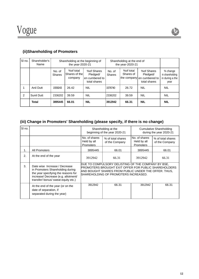

## **(ii)Shareholding of Promoters**

| SI no.        | Shareholder's<br>Name | Shareholding at the beginning of<br>the year-2020-21 |                                       |                                                          | Shareholding at the end of<br>the year-2020-21 |                                       |                                                          |                                                        |
|---------------|-----------------------|------------------------------------------------------|---------------------------------------|----------------------------------------------------------|------------------------------------------------|---------------------------------------|----------------------------------------------------------|--------------------------------------------------------|
|               |                       | No. of<br>Shares                                     | %of total<br>Shares of the<br>company | %of Shares<br>Pledged/<br>en cumbered to<br>total shares | No. of<br><b>Shares</b>                        | %of total<br>Shares of<br>the company | %of Shares<br>Pledged/<br>en cumbered to<br>total shares | % change<br>in shareholding<br>in during a the<br>year |
|               | Anil Dutt             | 1559243                                              | 26.42                                 | <b>NIL</b>                                               | 1576740                                        | 26.72                                 | <b>NIL</b>                                               | <b>NIL</b>                                             |
| $\mathcal{P}$ | Sunil Dutt            | 2336202                                              | 39.59                                 | <b>NIL</b>                                               | 2336202                                        | 39.59                                 | <b>NIL</b>                                               | <b>NIL</b>                                             |
|               | <b>Total</b>          | 3895445                                              | 66.01                                 | <b>NIL</b>                                               | 3912942                                        | 66.31                                 | <b>NIL</b>                                               | <b>NIL</b>                                             |

## **(iii) Change in Promoters' Shareholding (please specify, if there is no change)**

| SI no. |                                                                                                                                                                                      |                                                                                                                                                                                                                   | Shareholding at the<br>beginning of the year 2020-21 | Cumulative Shareholding<br>during the year 2020-21 |                                     |  |  |
|--------|--------------------------------------------------------------------------------------------------------------------------------------------------------------------------------------|-------------------------------------------------------------------------------------------------------------------------------------------------------------------------------------------------------------------|------------------------------------------------------|----------------------------------------------------|-------------------------------------|--|--|
|        |                                                                                                                                                                                      | No. of shares<br>Held by all<br><b>Promoters</b>                                                                                                                                                                  | No. of shares<br>% of total shares<br>of the Company |                                                    | % of total shares<br>of the Company |  |  |
| 1.     | All Promoters                                                                                                                                                                        | 3895445                                                                                                                                                                                                           | 66.01                                                | 3895445                                            | 66.01                               |  |  |
| 2.     | At the end of the year                                                                                                                                                               | 3912942                                                                                                                                                                                                           | 66.31                                                | 3912942                                            | 66.31                               |  |  |
| 3.     | Date wise Increase / Decrease<br>in Promoters Shareholding during<br>the year specifying the reasons for<br>increase/ Decrease (e.g. allotment/<br>transfer/bonus/sweat equity etc.) | DUE TO COMPULSORY DELISTING OF THE COMPANY BY BSE,<br><b>PROMOTERS BROUGHT EXIT OFFER FOR PUBLIC SHAREHOLDERS</b><br>AND BOUGHT SHARES FROM PUBLIC UNDER THE OFFER. THUS,<br>SHAREHOLDING OF PROMOTERS INCREASED. |                                                      |                                                    |                                     |  |  |
|        | At the end of the year (or on the<br>date of separation, if<br>separated during the year)                                                                                            | 3912942                                                                                                                                                                                                           | 66.31                                                | 3912942                                            | 66.31                               |  |  |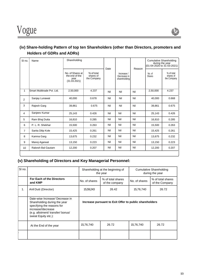

## **(iv) Share-holding Pattern of top ten Shareholders (other than Directors, promoters and Holders of GDRs and ADRs)**

| SI <sub>no</sub> . | Shareholding<br>Name       |                                                            |                                        |      | Cumulative Shareholding<br>during the year<br>l(01-04-2020 to 31-03-2021) |        |                         |                                        |
|--------------------|----------------------------|------------------------------------------------------------|----------------------------------------|------|---------------------------------------------------------------------------|--------|-------------------------|----------------------------------------|
|                    |                            | No. of Shares at<br>the end of the<br>year<br>(31.03.2021) | % of total<br>shares of<br>the Company | Date | Increase /<br>Decrease in<br>shareholding                                 | Reason | No. of<br><b>Shares</b> | % of total<br>shares of<br>the Company |
| 1                  | Smart Multitrade Pvt. Ltd. | 2,50,000                                                   | 4.237                                  | Nil  | Nil                                                                       | Nil    | 2,50,000                | 4.237                                  |
| $\overline{2}$     | Sanjay Lunawat             | 40.000                                                     | 0.678                                  | Nil  | Nil                                                                       | Nil    | 40.000                  | 0.668                                  |
| 3                  | Rajesh Garg                | 39,861                                                     | 0.675                                  | Nil  | Nil                                                                       | Nil    | 39,861                  | 0.675                                  |
| 4                  | Sanjeev Kumar              | 25,143                                                     | 0.426                                  | Nil  | Nil                                                                       | Nil    | 25,143                  | 0.426                                  |
| 5                  | Ram Bhaj Dutta             | 16,810                                                     | 0.285                                  | Nil  | Nil                                                                       | Nil    | 16,810                  | 0.285                                  |
| 6                  | P. L. R. Shekhar           | 15,500                                                     | 0.263                                  | Nil  | Nil                                                                       | Nil    | 15,500                  | 0.263                                  |
| 7                  | Sarita Dilip Kole          | 15,425                                                     | 0.261                                  | Nil  | Nil                                                                       | Nil    | 15,425                  | 0.261                                  |
| 8                  | Kamna Garg                 | 13,675                                                     | 0.232                                  | Nil  | Nil                                                                       | Nil    | 13,675                  | 0.232                                  |
| 9                  | Manoj Agarwal              | 13,150                                                     | 0.223                                  | Nil  | Nil                                                                       | Nil    | 13,150                  | 0.223                                  |
| 10 <sup>°</sup>    | Rakesh Bal Gautam          | 12,200                                                     | 0.207                                  | Nil  | Nil                                                                       | Nil    | 12,200                  | 0.207                                  |
|                    |                            |                                                            |                                        |      |                                                                           |        |                         |                                        |

## **(v) Shareholding of Directors and Key Managerial Personnel:**

| SI no. |                                                                                                                                                                                 |                                                        | Shareholding at the beginning of<br>the year | Cumulative Shareholding<br>during the year |                                     |  |  |
|--------|---------------------------------------------------------------------------------------------------------------------------------------------------------------------------------|--------------------------------------------------------|----------------------------------------------|--------------------------------------------|-------------------------------------|--|--|
|        | <b>For Each of the Directors</b><br>and KMP                                                                                                                                     | No. of shares                                          | % of total shares<br>of the company          | No. of shares                              | % of total shares<br>of the Company |  |  |
| 1.     | Anil Dutt (Director)                                                                                                                                                            | 15,59,243                                              | 26.42                                        |                                            | 26.72                               |  |  |
|        | Date-wise Increase/ Decrease in<br>Shareholding during the year<br>specifying the reasons for<br>increase//decrease<br>(e.g. allotment/ transfer/ bonus/<br>sweat Equity etc.): | Increase pursuant to Exit Offer to public shareholders |                                              |                                            |                                     |  |  |
|        | At the End of the year                                                                                                                                                          | 15,76,740                                              | 26.72                                        | 15,76,740                                  | 26.72                               |  |  |
|        |                                                                                                                                                                                 |                                                        |                                              |                                            |                                     |  |  |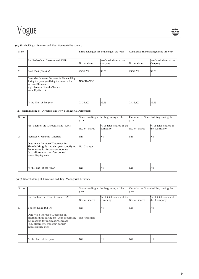

(vi) Shareholding of Directors and Key Managerial Personnel :

| Sl no. |                                                                                                                                                                            |               | Share holding at the beginning of the year | Cumulative Shareholding during the year |                                     |  |
|--------|----------------------------------------------------------------------------------------------------------------------------------------------------------------------------|---------------|--------------------------------------------|-----------------------------------------|-------------------------------------|--|
|        | For Each of the Directors and KMP                                                                                                                                          | No. of shares | % of total shares of the<br>company        | No. of shares                           | % of total shares of the<br>Company |  |
| 12     | Sunil Dutt (Director)                                                                                                                                                      | 23,36,202     | 39.59                                      | 23,36,202                               | 39.59                               |  |
|        | Date-wise Increase/ Decrease in Shareholding<br>during the year specifying the reasons for<br>lincrease//decrease<br>(e.g. allotment/transfer/bonus/<br>sweat Equity etc): | NO CHANGE     |                                            |                                         |                                     |  |
|        | At the End of the year                                                                                                                                                     | 23,36,202     | 39.59                                      | 23,36,202                               | 39.59                               |  |

(vii) Shareholding of Directors and Key Managerial Personnel:

| Sl no. |                                                                                                                                                                             | vear          | Share holding at the beginning of the | Cumulative Shareholding during the<br><b>vear</b> |                                     |
|--------|-----------------------------------------------------------------------------------------------------------------------------------------------------------------------------|---------------|---------------------------------------|---------------------------------------------------|-------------------------------------|
|        | For Each of the Directors and KMP                                                                                                                                           | No. of shares | % of total shares of the<br>company   | No. of shares                                     | % of total shares of<br>the Company |
| B      | Jogender K. Minocha (Director)                                                                                                                                              | Nil           | Nil                                   | Nil                                               | Nil                                 |
|        | Date-wise Increase/ Decrease in<br>Shareholding during the year specifying<br>the reasons for increase//decrease<br>(e.g. allotment/ transfer/ bonus/<br>sweat Equity etc): | No Change     |                                       |                                                   |                                     |
|        | At the End of the year                                                                                                                                                      | Nil           | Nil                                   | Nil                                               | Nil                                 |

(viii)) Shareholding of Directors and Key Managerial Personnel:

| Sl no. |                                                                                                                                                                             | Share holding at the beginning of the<br>year |                                     | Cumulative Shareholding during the<br>year |                                     |
|--------|-----------------------------------------------------------------------------------------------------------------------------------------------------------------------------|-----------------------------------------------|-------------------------------------|--------------------------------------------|-------------------------------------|
|        | For Each of the Directors and KMP                                                                                                                                           | No. of shares                                 | % of total shares of the<br>company | No. of shares                              | % of total shares of<br>the Company |
| 15     | Yogesh Kalra (CFO)                                                                                                                                                          | Nil                                           | Nil                                 | Nil                                        | Nil                                 |
|        | Date-wise Increase/ Decrease in<br>Shareholding during the year specifying<br>the reasons for increase//decrease<br>(e.g. allotment/ transfer/ bonus/<br>sweat Equity etc): | Not Applicable                                |                                     |                                            |                                     |
|        | At the End of the year                                                                                                                                                      | Nil                                           | Nil                                 | Nil                                        | Nil                                 |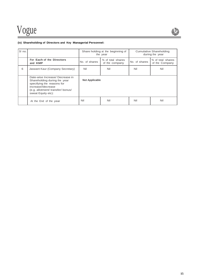

## **(ix) Shareholding of Directors and Key Managerial Personnel:**

| SI no. |                                                                                                                                                                                |                       | Share holding at the beginning of<br>the year | Cumulative Shareholding<br>during the year |                                     |
|--------|--------------------------------------------------------------------------------------------------------------------------------------------------------------------------------|-----------------------|-----------------------------------------------|--------------------------------------------|-------------------------------------|
|        | For Each of the Directors<br>and <b>KMP</b>                                                                                                                                    | No. of shares         | % of total shares<br>of the company           | No. of shares                              | % of total shares<br>of the Company |
| 6      | Jaswant Kaur (Company Secretary)                                                                                                                                               | Nil                   | Nil                                           | Nil                                        | Nil                                 |
|        | Date-wise Increase/ Decrease in<br>Shareholding during the year<br>specifying the reasons for<br>increase//decrease<br>(e.g. allotment/ transfer/ bonus/<br>sweat Equity etc): | <b>Not Applicable</b> |                                               |                                            |                                     |
|        | At the End of the year                                                                                                                                                         | Nil                   | Nil                                           | Nil                                        | Nil                                 |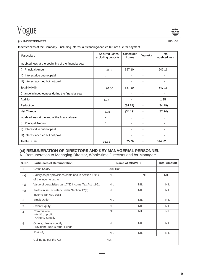

## **(x) INDEBTEDNESS** (Rs. Lac)

Indebtedness of the Company including interest outstanding/accrued but not due for payment

| Particulars                                         | Secured Loans<br>excluding deposits | Unsecured<br>Loans       | Deposits                 | Total<br>Indebtedness |
|-----------------------------------------------------|-------------------------------------|--------------------------|--------------------------|-----------------------|
| Indebtedness at the beginning of the financial year |                                     |                          | $\overline{\phantom{a}}$ |                       |
| <b>Principal Amount</b><br>i)                       | 90.06                               | 557.10                   |                          | 647.16                |
| II) Interest due but not paid                       |                                     |                          |                          |                       |
| III) Interest accrued but not paid                  |                                     | $\overline{\phantom{0}}$ | $\overline{\phantom{a}}$ |                       |
| Total (i+ii+iii)                                    | 90.06                               | 557.10                   |                          | 647.16                |
| Change in indebtedness during the financial year    | $\overline{\phantom{0}}$            |                          |                          |                       |
| Addition                                            | 1.25                                |                          |                          | 1.25                  |
| Reduction                                           |                                     | (34.19)                  |                          | (34.19)               |
| Net Change                                          | 1.25                                | (34.19)                  |                          | (32.94)               |
| Indebtedness at the end of the financial year       |                                     |                          |                          |                       |
| <b>Principal Amount</b><br>I)                       |                                     |                          |                          |                       |
| II) Interest due but not paid                       |                                     |                          |                          |                       |
| III) Interest accrued but not paid                  |                                     |                          |                          |                       |
| Total (i+ii+iii)                                    | 91.31                               | 522.92                   |                          | 614.22                |

## **(xi) REMUNERATION OF DIRECTORS AND KEY MANAGERIAL PERSONNEL**

A. Remuneration to Managing Director, Whole-time Directors and /or Manager:

| S. No.         | <b>Particulars of Remuneration</b>                                            | Name of MD/WTD | <b>Total Amount</b> |            |
|----------------|-------------------------------------------------------------------------------|----------------|---------------------|------------|
|                | <b>Gross Salary</b>                                                           | Anil Dutt      |                     |            |
| (a)            | Salary as per provisions contained in section 17(1)<br>of the income tax act. | <b>NIL</b>     | <b>NIL</b>          | <b>NIL</b> |
| (b)            | Value of perquisites u/s 17(2) Income Tax Act, 1961                           | <b>NIL</b>     | <b>NIL</b>          | NIL.       |
| (c)            | Profits in lieu of salary under Section 17(3)<br>Income Tax Act, 1961         | <b>NIL</b>     | <b>NIL</b>          | <b>NIL</b> |
| 2              | <b>Stock Option</b>                                                           | <b>NIL</b>     | <b>NIL</b>          | <b>NIL</b> |
| 3              | <b>Sweat Equity</b>                                                           | <b>NIL</b>     | <b>NIL</b>          | <b>NIL</b> |
| $\overline{4}$ | Commission<br>- As % of profit<br>- Others, Specify                           | <b>NIL</b>     | <b>NIL</b>          | <b>NIL</b> |
| 5              | Others, please specify<br>Provident Fund & other Funds                        | <b>NIL</b>     | <b>NIL</b>          | <b>NIL</b> |
|                | Total (A)                                                                     | <b>NIL</b>     | <b>NIL</b>          | <b>NIL</b> |
|                | Ceiling as per the Act                                                        | N.A.           |                     |            |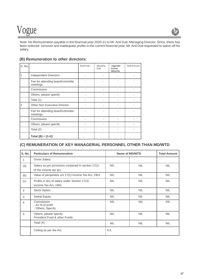

Note: No Remuneration payable in the financial year 2020-21 to Mr. Anil Dutt, Managing Director. Since, there has been reduced turnover and inadequate profits in the current financial year, Mr. Anil Dutt requested to waive off his salary.

## **(B) Remuneration to other directors:**

| S. No.         |                                              | Sunil Dutt | Akansha<br>Dutt | Jogender<br>Kumar<br>Minocha | <b>Total Amount</b> |
|----------------|----------------------------------------------|------------|-----------------|------------------------------|---------------------|
| 1              | <b>Independent Directors</b>                 |            |                 |                              |                     |
|                | Fee for attending board/committe<br>meetings |            |                 |                              |                     |
|                | Commission                                   |            |                 |                              |                     |
|                | Others, please specify                       |            |                 |                              |                     |
|                | Total (1)                                    |            |                 |                              |                     |
| $\overline{2}$ | Other Non Executive Director                 |            |                 |                              |                     |
|                | Fee for attending board/committe<br>meetings |            |                 |                              |                     |
|                | Commission                                   |            |                 |                              |                     |
|                | Others, please specify                       |            |                 |                              |                     |
|                | Total (2)                                    |            |                 |                              |                     |
|                | Total $(B) = (1+2)$                          |            |                 |                              |                     |

## **(C) REMUNERATION OF KEY MANAGERIAL PERSONNEL OTHER THAN MD/WTD**

| <b>S. No.</b> | <b>Particulars of Remuneration</b>                                            | Name of MD/WTD |            | <b>Total Amount</b> |
|---------------|-------------------------------------------------------------------------------|----------------|------------|---------------------|
| $\mathbf{1}$  | <b>Gross Salary</b>                                                           |                |            |                     |
| (a)           | Salary as per provisions contained in section 17(1)<br>of the income tax act. | <b>NIL</b>     | <b>NIL</b> | <b>NIL</b>          |
| (b)           | Value of perquisites u/s 17(2) Income Tax Act, 1961                           | NIL.           | <b>NIL</b> | NIL.                |
| (c)           | Profits in lieu of salary under Section 17(3)<br>Income Tax Act, 1961         | <b>NIL</b>     | <b>NIL</b> | <b>NIL</b>          |
| 2             | <b>Stock Option</b>                                                           | <b>NIL</b>     | <b>NIL</b> | <b>NIL</b>          |
| 3             | <b>Sweat Equity</b>                                                           | <b>NIL</b>     | <b>NIL</b> | <b>NIL</b>          |
| 4             | Commission<br>- As % of profit<br>- Others, Specify                           | <b>NIL</b>     | <b>NIL</b> | <b>NIL</b>          |
| 5             | Others, please specify<br>Provident Fund & other Funds                        | <b>NIL</b>     | <b>NIL</b> | <b>NIL</b>          |
|               | Total (A)                                                                     | <b>NIL</b>     | <b>NIL</b> | <b>NIL</b>          |
|               | Ceiling as per the Act                                                        | N.A.           |            |                     |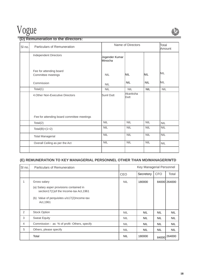## **(D) Remuneration to the directors:**

| SI no. | Particulars of Remuneration                   |                           | Name of Directors |            |            |
|--------|-----------------------------------------------|---------------------------|-------------------|------------|------------|
|        | <b>Independent Directors</b>                  | Jogender Kumar<br>Minocha |                   |            |            |
|        | Fee for attending board<br>Committee meetings | <b>NIL</b>                | Inil              | <b>NIL</b> | NIL        |
|        | Commission                                    | <b>NIL</b>                | <b>NIL</b>        | <b>NIL</b> | NIL        |
|        | Total(1)                                      | <b>NIL</b>                | <b>NIL</b>        | <b>NIL</b> | <b>NIL</b> |
|        | 4. Other Non-Executive Directors              | Sunil Dutt                | Akanksha<br>Dutt  |            |            |
|        | · Fee for attending board committee meetings  |                           |                   |            |            |
|        | Total(2)                                      | <b>NIL</b>                | <b>NIL</b>        | <b>NIL</b> | <b>NIL</b> |
|        | $Total(B)=(1+2)$                              | <b>NIL</b>                | <b>NIL</b>        | <b>NIL</b> | <b>NIL</b> |
|        | <b>Total Managerial</b>                       | <b>NIL</b>                | <b>NIL</b>        | <b>NIL</b> | <b>NIL</b> |
|        | Overall Ceiling as per the Act                | <b>NIL</b>                | <b>NIL</b>        | <b>NIL</b> | NIL        |
|        |                                               |                           |                   |            |            |

## **(E) REMUNERATION TO KEY MANAGERIAL PERSONNEL OTHER THAN MD/MANAGER/WTD**

| SI no.         | <b>Particulars of Remuneration</b>                                                                                                                                   | Key Managerial Personnel |            |            |              |
|----------------|----------------------------------------------------------------------------------------------------------------------------------------------------------------------|--------------------------|------------|------------|--------------|
|                |                                                                                                                                                                      | <b>CEO</b>               | Secretory  | <b>CFO</b> | Total        |
|                | Gross salary<br>(a) Salary asper provisions contained in<br>section17(1) of the Income-tax Act, 1961<br>Value of perquisites u/s17(2) Income-tax<br>(b)<br>Act, 1961 | <b>NIL</b>               | 180000     |            | 84000 264000 |
| 2              | <b>Stock Option</b>                                                                                                                                                  | <b>NIL</b>               | <b>NIL</b> | <b>NIL</b> | <b>NIL</b>   |
| 3              | <b>Sweat Equity</b>                                                                                                                                                  | <b>NIL</b>               | <b>NIL</b> | <b>NIL</b> | <b>NIL</b>   |
| $\overline{4}$ | Commission - as % of profit -Others, specify                                                                                                                         | <b>NIL</b>               | <b>NIL</b> | <b>NIL</b> | <b>NIL</b>   |
| 5              | Others, please specify                                                                                                                                               | <b>NIL</b>               | <b>NIL</b> | <b>NIL</b> | <b>NIL</b>   |
|                | Total                                                                                                                                                                | <b>NIL</b>               | 180000     | 84000      | 264000       |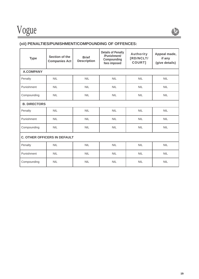

## **(xii) PENALTIES/PUNISHMENT/COMPOUNDING OF OFFENCES:**

| <b>Type</b>                         | Section of the<br><b>Companies Act</b> | <b>Brief</b><br><b>Description</b> | <b>Details of Penalty</b><br>/Punishment/<br>Compounding<br>fees imposed | Authority<br>[RD/NCLT/<br>COURT] | Appeal made,<br>if any<br>(give details) |  |  |
|-------------------------------------|----------------------------------------|------------------------------------|--------------------------------------------------------------------------|----------------------------------|------------------------------------------|--|--|
| <b>A.COMPANY</b>                    |                                        |                                    |                                                                          |                                  |                                          |  |  |
| Penalty                             | <b>NIL</b>                             | <b>NIL</b>                         | <b>NIL</b>                                                               | <b>NIL</b>                       | <b>NIL</b>                               |  |  |
| Punishment                          | <b>NIL</b>                             | <b>NIL</b>                         | <b>NIL</b>                                                               | <b>NIL</b>                       | <b>NIL</b>                               |  |  |
| Compounding                         | <b>NIL</b>                             | <b>NIL</b>                         | <b>NIL</b>                                                               | <b>NIL</b>                       | <b>NIL</b>                               |  |  |
| <b>B. DIRECTORS</b>                 |                                        |                                    |                                                                          |                                  |                                          |  |  |
| Penalty                             | <b>NIL</b>                             | <b>NIL</b>                         | <b>NIL</b>                                                               | <b>NIL</b>                       | <b>NIL</b>                               |  |  |
| Punishment                          | <b>NIL</b>                             | <b>NIL</b>                         | <b>NIL</b>                                                               | <b>NIL</b>                       | <b>NIL</b>                               |  |  |
| Compounding                         | <b>NIL</b>                             | <b>NIL</b>                         | <b>NIL</b>                                                               | <b>NIL</b>                       | <b>NIL</b>                               |  |  |
| <b>C. OTHER OFFICERS IN DEFAULT</b> |                                        |                                    |                                                                          |                                  |                                          |  |  |
| Penalty                             | <b>NIL</b>                             | <b>NIL</b>                         | <b>NIL</b>                                                               | <b>NIL</b>                       | <b>NIL</b>                               |  |  |
| Punishment                          | <b>NIL</b>                             | <b>NIL</b>                         | <b>NIL</b>                                                               | <b>NIL</b>                       | <b>NIL</b>                               |  |  |
| Compounding                         | <b>NIL</b>                             | <b>NIL</b>                         | <b>NIL</b>                                                               | <b>NIL</b>                       | <b>NIL</b>                               |  |  |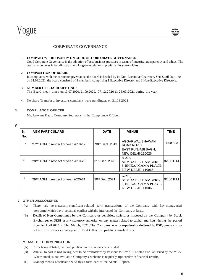

## **CORPORATE GOVERNANCE**

## 1. **COMPANY'S PHILOSOPHY ON CODE OF CORPORATE GOVERNANCE**

Good Corporate Governance is the adoption of best business practices in terms of integrity, transparency and ethics. The company believes in building trust and long-term relationship with all its stakeholders.

## 2. **COMPOSITION OF BOARD**

In compliance with the corporate governance, the board is headed by its Non-Executive Chairman, Shri Sunil Dutt. As on 31.03.2021, the board consisted of 4 members comprising 1 Executive Director and 3 Non-Executive Directors.

### 3. **NUMBER OF BOARD MEETINGS**

The Board met 4 times on 13.07.2020, 21.09.2020, 07.12.2020 & 26.03.2021 during the year.

4. No share Transfer or investor's complaint were pending as on 31.03.2021.

## 5. **COMPLIANCE OFFICER**

Ms. Jaswant Kaur, Company Secretary, is the Compliance Officer.

| S.  | <b>AGM PARTICULARS</b>                          | <b>DATE</b>                | <b>VENUE</b>                                                                         | <b>TIME</b>            |
|-----|-------------------------------------------------|----------------------------|--------------------------------------------------------------------------------------|------------------------|
| No. |                                                 |                            |                                                                                      |                        |
|     | 27 <sup>TH</sup> AGM in respect of year 2018-19 | 30th Sept. 2019            | AGGARWAL BHAWAN,<br>ROAD NO-10,                                                      | 11:00 A.M.             |
|     |                                                 |                            | EAST PUNJABI BAGH,                                                                   |                        |
|     |                                                 |                            | <b>NEW DELHI-110026</b>                                                              |                        |
| 2   | 28 <sup>TH</sup> AGM in respect of year 2019-20 | 31 <sup>st</sup> Dec. 2020 | $A-206.$<br>SOMDATT CHAMBERS-I,<br>5, BHIKAJI CAMA PLACE,<br><b>NEW DELHI-110066</b> | $ 02:00 \text{ P.M.} $ |
|     |                                                 |                            |                                                                                      |                        |
| 3   | 29 <sup>TH</sup> AGM in respect of year 2020-21 | 30 <sup>th</sup> Dec. 2021 | $A-206$ ,<br>SOMDATT CHAMBERS-I,<br>5, BHIKAJI CAMA PLACE,                           | $ 02:00 \text{ P.M.} $ |
|     |                                                 |                            | <b>NEW DELHI-110066</b>                                                              |                        |

## 6.

## **7. OTHER DISCLOSURES**

- (A) There are no materially significant related party transactions of the Company with key managerial personnel which have potential conflict with the interest of the Company at large.
- (B) Details of Non-Compliance by the Company or penalties, strictures imposed on the Company by Stock Exchanges or SEBI or any statutory authority, on any matter related to capital markets, during the period from 1st April 2020 to 31st March, 2021: The Company was compulsorily delisted by BSE, pursuant to which promoters came up with Exit Offer for public shareholders.

## **8. MEANS OF COMMUNICATION**

- (A) After being delisted, no more publication in newspapers is needed.
- (B) Annual Report is not being sent to Shareholders by Post due to Covid 19 related circular issued by the MCA. Where email is not available Company's website is regularly updated with financial results.
- (C) Management's Discussion & Analysis form part of the Annual Report.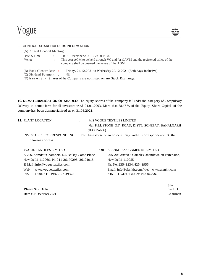

## **9. GENERALSHAREHOLDERSINFORMATION**

| (A) Annual General Meeting                                                                                                                                                                                       |  |                                                                                                                                                                        |
|------------------------------------------------------------------------------------------------------------------------------------------------------------------------------------------------------------------|--|------------------------------------------------------------------------------------------------------------------------------------------------------------------------|
| Date & Time<br>Venue                                                                                                                                                                                             |  | $30th$ December 2021, 02:00 P.M.<br>This year AGM to be held through VC and /or OAVM and the registered office of the<br>company shall be deemed the venue of the AGM. |
| Friday, 24.12.2021 to Wednesday 29.12.2021 (Both days inclusive)<br>(B) Book Closure Date:<br>(C) Dividend Payment :<br>Nil<br>(D) Pr e s e n t l y, Shares of the Company are not listed on any Stock Exchange. |  |                                                                                                                                                                        |

**10. DEMATERIALISATION OF SHARES**: The equity shares of the company fall under the category of Compulsory Delivery in demat form for all investors w.e.f 01.01.2003. More than 88.47 % of the Equity Share Capital of the company has been dematerialized as on 31.03.2021.

| <b>11. PLANT LOCATION</b>                        | <b>M/S VOGUE TEXTILES LIMITED</b> |                                                                                        |  |  |
|--------------------------------------------------|-----------------------------------|----------------------------------------------------------------------------------------|--|--|
|                                                  |                                   | 40th K.M. STONE G.T. ROAD, DISTT. SONEPAT, BAHALGARH                                   |  |  |
|                                                  | (HARYANA)                         |                                                                                        |  |  |
|                                                  |                                   | INVESTORS' CORRESPONDENCE : The Investors/ Shareholders may make correspondence at the |  |  |
| following address:                               |                                   |                                                                                        |  |  |
|                                                  |                                   |                                                                                        |  |  |
| VOGUE TEXTILES LIMITED                           | OR.                               | ALANKIT ASSIGNMENTS LIMITED                                                            |  |  |
| A-206, Somdatt Chambers-I, 5, Bhikaji Cama Place |                                   | 205-208 Anarkali Complex Jhandewalan Extension,                                        |  |  |
| New Delhi-110066. Ph-011-26170298, 26101915      |                                   | New Delhi-110055                                                                       |  |  |
| E-Mail: info@voguetextiles.com                   |                                   | Ph. No. 23541234, 42541955                                                             |  |  |

Web : [www.voguetextiles.com](http://www.voguetextiles.com/) Email: [info@alankit.com,](mailto:info@alankit.com) Web : [www.alankit.com](http://www.alankit.com/)

CIN : U18101DL1992PLC049370 CIN: : U74210DL1991PLC042569

Sd/-<br>Sunil Dutt

**Place:** New Delhi **Date :** 01<sup>x</sup> December 2021 Chairman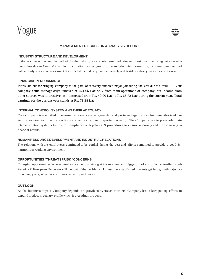

## **MANAGEMENT DISCUSSION & ANALYSIS REPORT**

## **INDUSTRY STRUCTURE AND DEVELOPMENT**

In the year under review, the outlook for the industry as a whole remained grim and most manufacturing units faced a tough time due to Covid-19 pandemic situation, asthe year progressed, declining domestic growth numbers coupled with already weak overseas markets affected the industry quite adversely and textiles industry was no exception to it.

## **FINANCIAL PERFORMANCE**

Plans laid out for bringing company to the path of recovery suffered major jolt during the year due to Covid-19. Your company could manage only a turnover of Rs.4.66 Lac only from main operations of company, but income from other sources was impressive, as it increased from Rs. 40.00 Lac to Rs. 66.72 Lac during the current year. Total earnings for the current year stands at Rs. 71.38 Lac.

## **INTERNAL CONTROL SYSTEM AND THEIR ADEQUACY**

Your company is committed to ensure that assets are safeguarded and protected against loss from unauthorized use and disposition, and the transactions are authorized and reported correctly. The Company has in place adequate internal control systems to ensure compliance with policies & procedures to ensure accuracy and transparency in financial results.

## **HUMAN RESOURCE DEVELOPMENT AND INDUSTRIAL RELATIONS**

The relations with the employees continued to be cordial during the year and efforts remained to provide a good & harmonious working environment.

## **OPPORTUNITIES / THREATS / RISK / CONCERNS**

Emerging opportunities in newer markets are not that strong at the moment and biggest markets for Indian textiles, North America & European Union are still not out of the problems . Unless the established markets get into growth trajectory in coming years, situation continues to be unpredictable.

### **OUT LOOK**

As the business of your Company depends on growth in overseas markets, Company has to keep putting efforts to expand product & country profile which is a gradual process.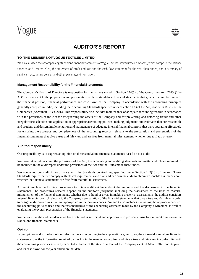

## **AUDITOR'S REPORT**

## **TO THE MEMBERS OF VOGUE TEXTILES LIMITED**

We have audited the accompanying standalone financial statements of Vogue Textiles Limited ('the Company'), which comprise the balance sheet as at 31 March 2021, the statement of profit and loss and the cash flow statement for the year then ended, and a summary of significant accounting policies and other explanatory information.

### **Management Responsibility forthe Financial Statements**

The Company's Board of Directors is responsible for the matters stated in Section 134(5) of the Companies Act, 2013 ("the Act") with respect to the preparation and presentation of these standalone financial statements that give a true and fair view of the financial position, financial performance and cash flows of the Company in accordance with the accounting principles generally accepted in India, including the Accounting Standards specified under Section 133 of the Act, read with Rule 7 of the Companies (Accounts) Rules, 2014. This responsibility also includes maintenance of adequate accounting records in accordance with the provisions of the Act for safeguarding the assets of the Company and for preventing and detecting frauds and other irregularities; selection and application of appropriate accounting policies; making judgments and estimates that are reasonable and prudent; and design, implementation and maintenance of adequate internal financial controls, that were operating effectively for ensuring the accuracy and completeness of the accounting records, relevant to the preparation and presentation of the financial statements that give a true and fair view and are free from material misstatement, whether due to fraud or error.

## **Auditor Responsibility**

Our responsibility is to express an opinion on these standalone financial statements based on our audit.

We have taken into account the provisions of the Act, the accounting and auditing standards and matters which are required to be included in the audit report under the provisions of the Act and the Rules made there under.

We conducted our audit in accordance with the Standards on Auditing specified under Section 143(10) of the Act. Those Standards require that we comply with ethical requirements and plan and perform the audit to obtain reasonable assurance about whether the financial statements are free from material misstatement.

An audit involves performing procedures to obtain audit evidence about the amounts and the disclosures in the financial statements. The procedures selected depend on the auditor's judgment, including the assessment of the risks of material misstatement of the financial statements, whether due to fraud or error. In making those risk assessments, the auditor considers internal financial control relevant to the Company's preparation of the financial statements that give a true and fair view in order to design audit procedures that are appropriate in the circumstances. An audit also includes evaluating the appropriateness of the accounting policies used and the reasonableness of the accounting estimates made by the Company's Directors, as well as evaluating the overall presentation of the financial statements.

We believe that the audit evidence we have obtained is sufficient and appropriate to provide a basis for our audit opinion on the standalone financial statements.

## **Opinion**

In our opinion and to the best of our information and according to the explanations given to us, the aforesaid standalone financial statements give the information required by the Act in the manner so required and give a true and fair view in conformity with the accounting principles generally accepted in India, of the state of affairs of the Company as at 31 March 2021 and its profit and its cash flows for the year ended on that date.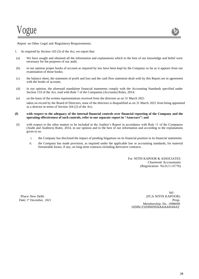Report on Other Legal and Regulatory Requirements.

- 1. As required by Section 143 (3) of the Act, we report that:
- (a) We have sought and obtained all the information and explanations which to the best of our knowledge and belief were necessary for the purposes of our audit.
- (b) in our opinion proper books of account as required by law have been kept by the Company so far as it appears from our examination of those books;
- (c) the balance sheet, the statement of profit and loss and the cash flow statement dealt with by this Report are in agreement with the books of account;
- (d) in our opinion, the aforesaid standalone financial statements comply with the Accounting Standards specified under Section 133 of the Act, read with Rule 7 of the Companies (Accounts) Rules, 2014;
- (e) on the basis of the written representations received from the directors as on 31 March 2021 taken on record by the Board of Directors, none of the directors is disqualified as on 31 March 2021 from being appointed as a director in terms of Section 164 (2) of the Act;
- **(f) with respect to the adequacy of the internal financial controls over financial reporting of the Company and the operating effectiveness of such controls, refer to our separate report in "Annexure"; and**
- (f) with respect to the other matters to be included in the Auditor's Report in accordance with Rule 11 of the Companies (Audit and Auditors) Rules, 2014, in our opinion and to the best of our information and according to the explanations given to us:
	- i. the Company has disclosed the impact of pending litigations on its financial position in its financial statements.
	- ii. the Company has made provision, as required under the applicable law or accounting standards, for material foreseeable losses, if any, on long-term contracts including derivative contracts .

 For NITIN KAPOOR & ASSOCIATES Chartered Accountants (Registration No.021107N)

 Sd/- Place: New Delhi (FCA NITIN KAPOOR) Date: 1<sup>st</sup> December, 2021 Prop. Membership. No. : 098699 **UDIN:21098699AAAAAN4642**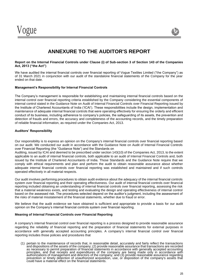Vogue



## **ANNEXURE TO THE AUDITOR'S REPORT**

## **Report on the Internal Financial Controls under Clause (i) of Sub-section 3 of Section 143 of the Companies Act, 2013 ("the Act")**

We have audited the internal financial controls over financial reporting of Vogue Textiles Limited ("the Company") as of 31 March 2021 in conjunction with our audit of the standalone financial statements of the Company for the year ended on that date.

## **Management's Responsibility for Internal Financial Controls**

The Company's management is responsible for establishing and maintaining internal financial controls based on the internal control over financial reporting criteria established by the Company considering the essential components of internal control stated in the Guidance Note on Audit of Internal Financial Controls over Financial Reporting issued by the Institute of Chartered Accountants of India ('ICAI'). These responsibilities include the design, implementation and maintenance of adequate internal financial controls that were operating effectively for ensuring the orderly and efficient conduct of its business, including adherence to company's policies, the safeguarding of its assets, the prevention and detection of frauds and errors, the accuracy and completeness of the accounting records, and the timely preparation of reliable financial information, as required under the Companies Act, 2013.

## **Auditors' Responsibility**

Our responsibility is to express an opinion on the Company's internal financial controls over financial reporting based on our audit. We conducted our audit in accordance with the Guidance Note on Audit of Internal Financial Controls over Financial Reporting (the "Guidance Note") and the Standards on

Auditing, issued by ICAI and deemed to be prescribed under section 143(10) of the Companies Act, 2013, to the extent applicable to an audit of internal financial controls, both applicable to an audit of Internal Financial Controls and, both issued by the Institute of Chartered Accountants of India. Those Standards and the Guidance Note require that we comply with ethical requirements and plan and perform the audit to obtain reasonable assurance about whether adequate internal financial controls over financial reporting was established and maintained and if such controls operated effectively in all material respects.

Our audit involves performing procedures to obtain audit evidence about the adequacy of the internal financial controls system over financial reporting and their operating effectiveness. Our audit of internal financial controls over financial reporting included obtaining an understanding of internal financial controls over financial reporting, assessing the risk that a material weakness exists, and testing and evaluating the design and operating effectiveness of internal control based on the assessed risk. The procedures selected depend on the auditor's judgment, including the assessment of the risks of material misstatement of the financial statements, whether due to fraud or error.

We believe that the audit evidence we have obtained is sufficient and appropriate to provide a basis for our audit opinion on the Company's internal financial controls system over financial reporting.

## **Meaning of Internal Financial Controls over Financial Reporting**

A company's internal financial control over financial reporting is a process designed to provide reasonable assurance regarding the reliability of financial reporting and the preparation of financial statements for external purposes in accordance with generally accepted accounting principles. A company's internal financial control over financial reporting includes those policies and procedures that

(1) pertain to the maintenance of records that, in reasonable detail, accurately and fairly reflect the transactions and dispositions of the assets of the company; (2) provide reasonable assurance that transactions are recorded as necessary to permit preparation of financial statements in accordance with generally accepted accounting principles, and that receipts and expenditures of the company are being made only in accordance with authorizations of management and directors of the company; and (3) provide reasonable assurance regarding prevention or timely detection of unauthorized acquisition, use, or disposition of the company's assets that could have a material effect on the financial statements.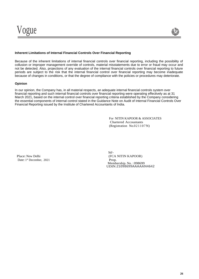



## **Inherent Limitations of Internal Financial Controls Over Financial Reporting**

Because of the inherent limitations of internal financial controls over financial reporting, including the possibility of collusion or improper management override of controls, material misstatements due to error or fraud may occur and not be detected. Also, projections of any evaluation of the internal financial controls over financial reporting to future periods are subject to the risk that the internal financial control over financial reporting may become inadequate because of changes in conditions, or that the degree of compliance with the policies or procedures may deteriorate.

## **Opinion**

In our opinion, the Company has, in all material respects, an adequate internal financial controls system over financial reporting and such internal financial controls over financial reporting were operating effectively as at 31 March 2021, based on the internal control over financial reporting criteria established by the Company considering the essential components of internal control stated in the Guidance Note on Audit of Internal Financial Controls Over Financial Reporting issued by the Institute of Chartered Accountants of India.

> For NITIN KAPOOR & ASSOCIATES Chartered Accountants (Registration No.021107N)

Date: 1<sup>st</sup> December, 2021 Prop.

Sd/- Place: New Delhi (FCA NITIN KAPOOR) Membership. No. : 098699 UDIN:**21098699AAAAAN4642**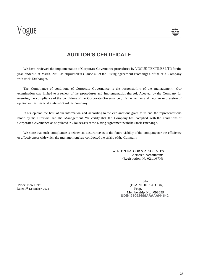

## **AUDITOR'S CERTIFICATE**

We have reviewed the implementation of Corporate Governance procedures by VOGUE TEXTILES LTD for the year ended 31st March, 2021 as stipulated in Clause 49 of the Listing agreement Exchanges. of the said Company with stock Exchanges

The Compliance of conditions of Corporate Governance is the responsibility of the management. Our examination was limited to a review of the procedures and implementation thereof. Adopted by the Company for ensuring the compliance of the conditions of the Corporate Governance , it is neither an audit nor an expression of opinion on the financial statements of the company.

In our opinion the best of our information and according to the explanations given to us and the representations made by the Directors and the Management .We certify that the Company has complied with the conditions of Corporate Governance as stipulated in Clause (49) of the Listing Agreement with the Stock Exchange.

We state that such compliance is neither an assurance as to the future viability of the company nor the efficiency or effectiveness with which the management has conducted the affairs of the Company

> For NITIN KAPOOR & ASSOCIATES Chartered Accountants (Registration No.021107N)

Date: 1<sup>ST</sup> December 2021 Prop.

 Sd/- Place: New Delhi (FCA NITIN KAPOOR) Membership. No. : 098699  **UDIN:21098699AAAAAN4642**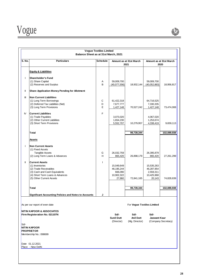

| S. No. | <b>Particulars</b>                                    | <b>Schedule</b> |                   | Amount as at 31st March    |                     |                                 |
|--------|-------------------------------------------------------|-----------------|-------------------|----------------------------|---------------------|---------------------------------|
|        |                                                       |                 |                   | 2021                       |                     | Amount as at 31st March<br>2020 |
|        |                                                       |                 |                   |                            |                     |                                 |
|        | <b>Equity &amp; Liabilities</b>                       |                 |                   |                            |                     |                                 |
|        | <b>Shareholder's Fund</b>                             |                 |                   |                            |                     |                                 |
|        | (1) Share Capital                                     | Α               | 59,009,700        |                            | 59,009,700          |                                 |
|        | (2) Reserves and Surplus                              | B               | (40,077,556)      | 18,932,144                 | (40,052,883)        | 18,956,817                      |
| Ш      | <b>Share Application Money Pending for Allotment</b>  |                 |                   |                            |                     |                                 |
| Ш      | Non Current Liabilities                               |                 |                   |                            |                     |                                 |
|        | (1) Long Term Borrowings                              | C               | 61,422,318        |                            | 64,716,525          |                                 |
|        | (2) Deferred Tax Liabilities (Net)                    | D               | 7,677,777         |                            | 7,330,335           |                                 |
|        | (3) Long Term Provisions                              | Е               | 1,427,148         | 70,527,242                 | 1,427,148           | 73,474,008                      |
|        |                                                       |                 |                   |                            |                     |                                 |
| IV     | <b>Current Liabilities</b>                            | F               |                   |                            |                     |                                 |
|        | (1) Trade Payables                                    |                 | 3,073,020         |                            | 4,067,020           |                                 |
|        | (2) Other Current Liabilities                         |                 | 1,654,230         |                            | 1,253,674           |                                 |
|        | (3) Short Term Provisions                             |                 | 5,552,707         | 10,279,957                 | 4,338,419           | 9,659,113                       |
|        | Total                                                 |                 |                   | 99,739,344                 |                     | 102,089,938                     |
|        |                                                       |                 |                   |                            |                     |                                 |
|        | <u>Assets</u>                                         |                 |                   |                            |                     |                                 |
|        | <b>Non Current Assets</b>                             |                 |                   |                            |                     |                                 |
|        | (1) Fixed Assets                                      |                 |                   |                            |                     |                                 |
|        | <b>Tangible Assets</b>                                | G               | 26,032,759        |                            | 26,395,879          |                                 |
|        | (2) Long Term Loans & Advances                        | Н               | 865,420           | 26,898,179                 | 865,420             | 27,261,299                      |
| Ш      | <b>Current Assets</b>                                 | $\mathbf{I}$    |                   |                            |                     |                                 |
|        | (1) Inventories                                       |                 | 15,049,649        |                            | 15,535,263          |                                 |
|        | (2) Trade Receivables                                 |                 | 46, 195, 244      |                            | 46,287,954          |                                 |
|        | (3) Cash and Cash Equivalents                         |                 | 666,090           |                            | 2,559,311           |                                 |
|        | (4) Short Term Loans & Advances                       |                 | 10,902,322        |                            | 10,425,968          |                                 |
|        | (5) Other Current Assets                              |                 | 27,860            | 72,841,165                 | 20,143              | 74,828,639                      |
|        |                                                       |                 |                   |                            |                     |                                 |
|        | Total                                                 |                 |                   | 99,739,344                 |                     | 102,089,938                     |
|        |                                                       |                 |                   |                            |                     |                                 |
|        | Significant Accounting Policies and Notes to Accounts | J               |                   |                            |                     |                                 |
|        | As per our report of even date                        |                 |                   | For Vogue Textiles Limited |                     |                                 |
|        |                                                       |                 |                   |                            |                     |                                 |
|        | <b>NITIN KAPOOR &amp; ASSOCIATES</b>                  |                 |                   |                            |                     |                                 |
|        | Firm Registeration No. 021107N                        |                 | Sd/-              | Sd/-                       | Sd/-                |                                 |
|        |                                                       |                 | <b>Sunil Dutt</b> | <b>Anil Dutt</b>           | <b>Jaswant Kaur</b> |                                 |
|        |                                                       |                 | (Director)        | (Mg. Director)             |                     | (Company Secretary)             |
| Sd/-   | <b>NITIN KAPOOR</b>                                   |                 |                   |                            |                     |                                 |
|        |                                                       |                 |                   |                            |                     |                                 |
|        | <b>PROPRIETOR</b>                                     |                 |                   |                            |                     |                                 |
|        | Membership No.: 098699                                |                 |                   |                            |                     |                                 |
|        | Date 01.12.2021                                       |                 |                   |                            |                     |                                 |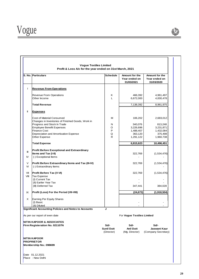

|         | S. No. Particulars                                                            | <b>Schedule</b>   | Amount for the<br>Year ended on<br>31/03/2021 | Amount for the<br>Year ended on<br>31/03/2020 |
|---------|-------------------------------------------------------------------------------|-------------------|-----------------------------------------------|-----------------------------------------------|
| T       | <b>Revenue From Operations</b>                                                |                   |                                               |                                               |
|         | <b>Revenue From Operations</b>                                                | Κ                 | 466,392                                       | 4,961,497                                     |
|         | Other Income                                                                  | L                 | 6,672,000                                     | 4,000,478                                     |
|         |                                                                               |                   |                                               |                                               |
|         | <b>Total Revenue</b>                                                          |                   | 7,138,392                                     | 8,961,975                                     |
| Ш       | <b>Expenses</b>                                                               |                   |                                               |                                               |
|         | <b>Cost of Material Consumed</b>                                              | M                 | 106,202                                       | 2,683,012                                     |
|         | Changes in Inventories of Finished Goods, Work in                             |                   |                                               |                                               |
|         | Progress and Stock In Trade                                                   | N                 | 340,076                                       | 813,248                                       |
|         | <b>Employee Benefit Expenses</b>                                              | O                 | 3,226,696                                     | 3,231,871                                     |
|         | <b>Finance Cost</b>                                                           | P                 | 1,488,407                                     | 1,432,084                                     |
|         | Depreciation and Amortisation Expense                                         | Q                 | 363,120                                       | 375,498                                       |
|         | Other Expense                                                                 | R                 | 1,291,122                                     | 1,960,738                                     |
|         | <b>Total Expense</b>                                                          |                   | 6,815,623                                     | 10,496,451                                    |
|         | <b>Profit Before Exceptional and Extraordinary</b>                            |                   |                                               |                                               |
| Ш       | Items and Tax (I-II)                                                          |                   | 322,769                                       | (1,534,476)                                   |
| IV      |                                                                               |                   |                                               |                                               |
|         | (-) Exceptional Items                                                         |                   |                                               |                                               |
| V<br>VI | Profit Before Extraordinary Items and Tax (III-IV)<br>(-) Extraordinary Items |                   | 322,769                                       | (1,534,476)                                   |
| VII     | <b>Profit Before Tax (V-VI)</b>                                               |                   | 322,769                                       | (1,534,476)                                   |
| VIII    | <b>Tax Expense</b>                                                            |                   |                                               |                                               |
|         | (I) Current Tax                                                               |                   |                                               |                                               |
|         | (II) Earlier Year Tax                                                         |                   |                                               |                                               |
|         | (III) Deferred Tax                                                            |                   | 347,441                                       | 384,028                                       |
| IX      | Profit (Loss) For the Period (VII-VIII)                                       |                   | (24, 673)                                     | (1,918,504)                                   |
|         |                                                                               |                   |                                               |                                               |
| х       | <b>Earning Per Equity Shares</b><br>(I) Basic                                 |                   |                                               |                                               |
|         | (II) Diluted                                                                  |                   |                                               |                                               |
|         | <b>Significant Accounting Policies and Notes to Accounts</b>                  | J                 |                                               |                                               |
|         | As per our report of even date                                                |                   | For Vogue Textiles Limited                    |                                               |
|         | <b>NITIN KAPOOR &amp; ASSOCIATES</b>                                          |                   |                                               |                                               |
|         | Firm Registeration No. 021107N                                                | Sd/-              | Sd/-                                          | Sd/-                                          |
|         |                                                                               | <b>Sunil Dutt</b> | <b>Anil Dutt</b>                              | <b>Jaswant Kaur</b>                           |
|         |                                                                               | (Director)        | (Mg. Director)                                | (Company Secretary)                           |
|         | <b>NITIN KAPOOR</b>                                                           |                   |                                               |                                               |
|         | <b>PROPRIETOR</b>                                                             |                   |                                               |                                               |
|         | Membership No.: 098699                                                        |                   |                                               |                                               |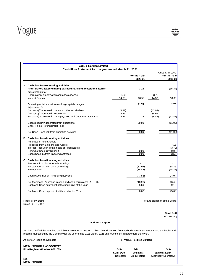**NITIN KAPOOR**



|     | <b>Vogue Textiles Limited</b><br>Cash Flow Statement for the year ended March 31, 2021                                                                                                                                                                   |                   |                            |                                |                         |
|-----|----------------------------------------------------------------------------------------------------------------------------------------------------------------------------------------------------------------------------------------------------------|-------------------|----------------------------|--------------------------------|-------------------------|
|     |                                                                                                                                                                                                                                                          |                   |                            |                                | Amount "In Lacs"        |
|     |                                                                                                                                                                                                                                                          |                   | For the Year<br>2020-21    |                                | For the Year<br>2019-20 |
|     |                                                                                                                                                                                                                                                          |                   |                            |                                |                         |
|     | A Cash flow from operating activities<br>Profit Before tax (excluding extraordinary and exceptional items)                                                                                                                                               |                   | 3.23                       |                                | (15.34)                 |
|     | Adjustements for:                                                                                                                                                                                                                                        |                   |                            |                                |                         |
|     | Depreciation, amortisation and obsolescense                                                                                                                                                                                                              | 3.63              |                            | 3.75                           |                         |
|     | Interest Expense                                                                                                                                                                                                                                         | 14.88             | 18.52                      | 14.32                          | 18.08                   |
|     | Operating activities before working capital changes                                                                                                                                                                                                      |                   | 21.74                      |                                | 2.73                    |
|     | Adjustment for:                                                                                                                                                                                                                                          |                   |                            |                                |                         |
|     | (Increase)/Decrease in trade and other receivables                                                                                                                                                                                                       | (3.91)            |                            | (42.94)                        |                         |
|     | (Increase)/Decrease in Inventories                                                                                                                                                                                                                       | 4.86              |                            | 34.96                          |                         |
|     | Increase/(Decrease) in trade payables and Customer Advances                                                                                                                                                                                              | 6.21              | 7.15                       | (5.84)                         | (13.82)                 |
|     | Cash (used in)/ generated from operations                                                                                                                                                                                                                |                   | 28.89                      |                                | (11.09)                 |
|     | Direct Taxes Refund/(Paid) - net                                                                                                                                                                                                                         |                   |                            |                                |                         |
|     | Net Cash (Used in)/ from operating activities                                                                                                                                                                                                            |                   | 28.89                      |                                | (11.09)                 |
|     |                                                                                                                                                                                                                                                          |                   |                            |                                |                         |
| ΙB. | Cash flow from investing activities                                                                                                                                                                                                                      |                   |                            |                                |                         |
|     | Purchase of Fixed Assets                                                                                                                                                                                                                                 |                   |                            |                                |                         |
|     | Proceeds from Sale of Fixed Assets                                                                                                                                                                                                                       |                   |                            |                                | 7.15                    |
|     | Interest Received/Profit on sale of Fixed assets                                                                                                                                                                                                         |                   |                            |                                | (3.70)                  |
|     | <b>Refund of Seccurity Deposit</b>                                                                                                                                                                                                                       |                   | 0.00                       |                                | 0.08                    |
|     | Cash (Used in)/from investing activities                                                                                                                                                                                                                 |                   | 0.00                       |                                | 3.53                    |
| IС  | Cash flow from financing activities                                                                                                                                                                                                                      |                   |                            |                                |                         |
|     | Proceeds from Short term borrowings                                                                                                                                                                                                                      |                   |                            |                                |                         |
|     | Re-payment of Long term borrowings                                                                                                                                                                                                                       |                   | (32.94)                    |                                | 38.36                   |
|     | <b>Interest Paid</b>                                                                                                                                                                                                                                     |                   | (14.88)                    |                                | (14.32)                 |
|     | Cash (Used in)/from Financing activities                                                                                                                                                                                                                 |                   | (47.83)                    |                                | 24.04                   |
|     |                                                                                                                                                                                                                                                          |                   |                            |                                |                         |
|     | Net (decrease) /lncrease in cash and cash equivalents (A+B+C)                                                                                                                                                                                            |                   | (18.93)                    |                                | 16.48                   |
|     | Cash and Cash equivalent at the beginning of the Year                                                                                                                                                                                                    |                   | 25.60                      |                                | 9.12                    |
|     | Cash and Cash equivalent at the end of the Year                                                                                                                                                                                                          |                   | 6.67                       |                                | 25.60                   |
|     |                                                                                                                                                                                                                                                          |                   |                            |                                |                         |
|     | <b>Place: New Delhi</b>                                                                                                                                                                                                                                  |                   |                            | For and on behalf of the Board |                         |
|     | Dated: 01.12.2021                                                                                                                                                                                                                                        |                   |                            |                                |                         |
|     |                                                                                                                                                                                                                                                          |                   |                            |                                | <b>Sunil Dutt</b>       |
|     |                                                                                                                                                                                                                                                          |                   |                            |                                | (Chairman)              |
|     | <b>Auditor's Report</b>                                                                                                                                                                                                                                  |                   |                            |                                |                         |
|     |                                                                                                                                                                                                                                                          |                   |                            |                                |                         |
|     | We have verified the attached cash flow statement of Vogue Textiles Limited, derived from audited financial statements and the books and<br>records maintained by the Company for the year ended 31st March, 2021 and found them in agreement therewith. |                   |                            |                                |                         |
|     | As per our report of even date                                                                                                                                                                                                                           |                   | For Vogue Textiles Limited |                                |                         |
|     | NITIN KAPOOR & ASSOCIATES                                                                                                                                                                                                                                |                   |                            |                                |                         |
|     | Firm Registeration No. 021107N                                                                                                                                                                                                                           | Sd/-              | Sd/-                       |                                | Sd/-                    |
|     |                                                                                                                                                                                                                                                          | <b>Sunil Dutt</b> | Anil Dutt                  |                                | Jaswant Kaur            |
|     |                                                                                                                                                                                                                                                          |                   | (Mg. Director)             |                                | (Company Secretary)     |
|     |                                                                                                                                                                                                                                                          | (Director)        |                            |                                |                         |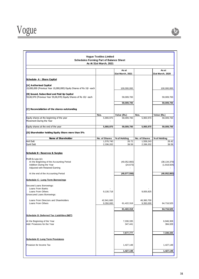

| <b>Schedules Forming Part of Balance Sheet</b>                                                                                                                            | <b>Vogue Textiles Limited</b><br>As At 31st March, 2021 |                             |                         |                               |
|---------------------------------------------------------------------------------------------------------------------------------------------------------------------------|---------------------------------------------------------|-----------------------------|-------------------------|-------------------------------|
|                                                                                                                                                                           |                                                         | As at<br>31st March, 2021   |                         | As at<br>31st March, 2020     |
| <b>Schedule- A : Share Capital</b><br>[A] Authorised Capital                                                                                                              |                                                         |                             |                         |                               |
| 10,000,000 (Previous Year 10,000,000) Equity Shares of Rs 10/- each<br>[B] Issued, Subscribed and Paid Up Capital                                                         |                                                         | 100,000,000                 |                         | 100,000,000                   |
| 59,00,970 (Previous Year 59,00,970) Equity Shares of Rs 10/- each                                                                                                         |                                                         | 59,009,700<br>59,009,700    |                         | 59,009,700<br>59,009,700      |
| [C] Reconcialiation of the shares outstanding                                                                                                                             |                                                         |                             |                         |                               |
| Equity shares at the beginning of the year<br>Movement During the Year                                                                                                    | Nos.<br>5,900,970                                       | Value (Rs.)<br>59,009,700   | Nos.<br>5,900,970       | Value (Rs.)<br>59,009,700     |
| Equity shares at the end of the year                                                                                                                                      | 5,900,970                                               | 59,009,700                  | 5,900,970               | 59,009,700                    |
| [D] Shareholder holding Equity Share more than 5%                                                                                                                         |                                                         |                             |                         |                               |
| <b>Name of Shareholder</b>                                                                                                                                                | No. of Shares                                           | % of Holding                | No. of Shares           | % of Holding                  |
| Anil Dutt<br>Sunil Dutt                                                                                                                                                   | 1,576,740<br>2,336,202                                  | 26.72<br>39.59              | 1,559,243<br>2,336,202  | 26.42<br>39.59                |
| <b>Schedule B: Reserves &amp; Surplus</b><br>Profit & Loss A/c<br>At the Beginning of the Accounting Period<br>Addition During the Year<br>Adjusted with Retained Earning |                                                         | (40, 052, 883)<br>(24, 673) |                         | (38, 134, 379)<br>(1,918,504) |
| At the end of the Accounting Period                                                                                                                                       |                                                         | (40,077,556)                |                         | (40,052,883)                  |
| <b>Schedule C: Long Term Borrowings</b><br>Secured Loans Borrowings:<br>Loans From Banks<br>Loans From Others<br>Unsecured Loans Borrowings:                              | 9,130,718                                               |                             | 9,005,825               |                               |
| Loans From Directors and Shareholders<br>Loans From Others                                                                                                                | 42,941,600<br>9,350,000                                 | 61,422,318<br>61,422,318    | 46,360,700<br>9,350,000 | 64,716,525<br>64,716,525      |
| <b>Schedule D: Deferred Tax Liabilities (NET)</b>                                                                                                                         |                                                         |                             |                         |                               |
| At the Beginning of the Year<br>Add: Provisions for the Year                                                                                                              |                                                         | 7,330,335<br>347,441        |                         | 6,946,308<br>384,028          |
|                                                                                                                                                                           |                                                         | 7,677,777                   |                         | 7,330,335                     |
| <b>Schedule E: Long Term Provisions</b>                                                                                                                                   |                                                         |                             |                         |                               |
| Provision for Income Tax                                                                                                                                                  |                                                         | 1,427,148<br>1,427,148      |                         | 1,427,148<br>1,427,148        |
|                                                                                                                                                                           |                                                         |                             |                         |                               |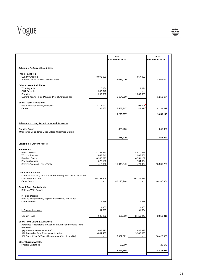

| <b>Schedule F: Current Liabilities:</b><br><b>Sundry Creditors</b><br>3,073,020<br>4,067,020<br>Advance From Parties - Interest Free<br>3,073,020<br>4,067,020<br><b>TDS Payable</b><br>5,184<br>3,674<br><b>GST Payable</b><br>399,046<br>Security<br>1,250,000<br>1,250,000<br>Current Year's Taxes Payable (Net of Advance Tax)<br>1,654,230<br>1,253,674<br>Provisions For Employee Benefit<br>3,317,040<br>2,196,098<br><b>Others</b><br>2,235,667<br>2, 142, 321<br>4,338,419<br>5,552,707<br>10,279,957<br>9,659,113<br><b>Security Deposit</b><br>865,420<br>865.420<br>865,420<br>865.420<br><b>Raw Materials</b><br>4,764,253<br>4,870,455<br>Work In Process<br>2,843,541<br>2,988,551<br><b>Finished Goods</b><br>6,356,093<br>6,551,159<br>Packing Material<br>672,160<br>704,694<br>Stores; Spares & Loose Tools<br>413,602<br>15,049,649<br>420,404<br>15,535,263<br>Debts Outstanding for a Period Excedding Six Months From the<br>Date They Are Due<br>46, 195, 244<br>46,287,954<br><b>Other Debts</b><br>46,287,954<br>46, 195, 244<br>$\sim$<br>$\blacksquare$<br><b>Balance With Banks:</b><br>In Fixed Depsits<br>Held as Margin Money Against Borrowings, and Other<br>11,465<br>11,465<br>Commitments<br>11,465<br>11,465<br>54,393<br>In Current Accounts<br>91,604<br>2,559,311<br>Cash in Hand<br>600,232<br>666,090<br>2,456,243<br>Advances Recoverable in Cash or In Kind For the Value to be<br>Received:<br>(1) Advance to Parties & Staff<br>1,037,872<br>1,037,873<br>(2) Receivable from Revenue Authorities<br>9,864,450<br>9,388,095<br>(3) Current Year's Taxes Recoverable (Net of Liability)<br>10,902,322<br>10,425,968<br><b>Prepaid Expenses</b><br>27,860<br>20,143<br>72,841,165<br>74,828,639 |                                                     | As at<br>31st March, 2021 | As at<br>31st March, 2020 |
|----------------------------------------------------------------------------------------------------------------------------------------------------------------------------------------------------------------------------------------------------------------------------------------------------------------------------------------------------------------------------------------------------------------------------------------------------------------------------------------------------------------------------------------------------------------------------------------------------------------------------------------------------------------------------------------------------------------------------------------------------------------------------------------------------------------------------------------------------------------------------------------------------------------------------------------------------------------------------------------------------------------------------------------------------------------------------------------------------------------------------------------------------------------------------------------------------------------------------------------------------------------------------------------------------------------------------------------------------------------------------------------------------------------------------------------------------------------------------------------------------------------------------------------------------------------------------------------------------------------------------------------------------------------------------------------------------------------------------------------------|-----------------------------------------------------|---------------------------|---------------------------|
|                                                                                                                                                                                                                                                                                                                                                                                                                                                                                                                                                                                                                                                                                                                                                                                                                                                                                                                                                                                                                                                                                                                                                                                                                                                                                                                                                                                                                                                                                                                                                                                                                                                                                                                                              |                                                     |                           |                           |
|                                                                                                                                                                                                                                                                                                                                                                                                                                                                                                                                                                                                                                                                                                                                                                                                                                                                                                                                                                                                                                                                                                                                                                                                                                                                                                                                                                                                                                                                                                                                                                                                                                                                                                                                              |                                                     |                           |                           |
|                                                                                                                                                                                                                                                                                                                                                                                                                                                                                                                                                                                                                                                                                                                                                                                                                                                                                                                                                                                                                                                                                                                                                                                                                                                                                                                                                                                                                                                                                                                                                                                                                                                                                                                                              | <b>Trade Payables</b>                               |                           |                           |
|                                                                                                                                                                                                                                                                                                                                                                                                                                                                                                                                                                                                                                                                                                                                                                                                                                                                                                                                                                                                                                                                                                                                                                                                                                                                                                                                                                                                                                                                                                                                                                                                                                                                                                                                              | <b>Other Current Laibilities:</b>                   |                           |                           |
|                                                                                                                                                                                                                                                                                                                                                                                                                                                                                                                                                                                                                                                                                                                                                                                                                                                                                                                                                                                                                                                                                                                                                                                                                                                                                                                                                                                                                                                                                                                                                                                                                                                                                                                                              |                                                     |                           |                           |
|                                                                                                                                                                                                                                                                                                                                                                                                                                                                                                                                                                                                                                                                                                                                                                                                                                                                                                                                                                                                                                                                                                                                                                                                                                                                                                                                                                                                                                                                                                                                                                                                                                                                                                                                              |                                                     |                           |                           |
|                                                                                                                                                                                                                                                                                                                                                                                                                                                                                                                                                                                                                                                                                                                                                                                                                                                                                                                                                                                                                                                                                                                                                                                                                                                                                                                                                                                                                                                                                                                                                                                                                                                                                                                                              | <b>Short - Term Provisions:</b>                     |                           |                           |
|                                                                                                                                                                                                                                                                                                                                                                                                                                                                                                                                                                                                                                                                                                                                                                                                                                                                                                                                                                                                                                                                                                                                                                                                                                                                                                                                                                                                                                                                                                                                                                                                                                                                                                                                              |                                                     |                           |                           |
|                                                                                                                                                                                                                                                                                                                                                                                                                                                                                                                                                                                                                                                                                                                                                                                                                                                                                                                                                                                                                                                                                                                                                                                                                                                                                                                                                                                                                                                                                                                                                                                                                                                                                                                                              |                                                     |                           |                           |
|                                                                                                                                                                                                                                                                                                                                                                                                                                                                                                                                                                                                                                                                                                                                                                                                                                                                                                                                                                                                                                                                                                                                                                                                                                                                                                                                                                                                                                                                                                                                                                                                                                                                                                                                              | <b>Schedule H: Long Term Loans and Advances</b>     |                           |                           |
|                                                                                                                                                                                                                                                                                                                                                                                                                                                                                                                                                                                                                                                                                                                                                                                                                                                                                                                                                                                                                                                                                                                                                                                                                                                                                                                                                                                                                                                                                                                                                                                                                                                                                                                                              |                                                     |                           |                           |
|                                                                                                                                                                                                                                                                                                                                                                                                                                                                                                                                                                                                                                                                                                                                                                                                                                                                                                                                                                                                                                                                                                                                                                                                                                                                                                                                                                                                                                                                                                                                                                                                                                                                                                                                              | (Unsecured Considered Good unless Otherwise Stated) |                           |                           |
|                                                                                                                                                                                                                                                                                                                                                                                                                                                                                                                                                                                                                                                                                                                                                                                                                                                                                                                                                                                                                                                                                                                                                                                                                                                                                                                                                                                                                                                                                                                                                                                                                                                                                                                                              |                                                     |                           |                           |
|                                                                                                                                                                                                                                                                                                                                                                                                                                                                                                                                                                                                                                                                                                                                                                                                                                                                                                                                                                                                                                                                                                                                                                                                                                                                                                                                                                                                                                                                                                                                                                                                                                                                                                                                              | <b>Schedule I: Current Assets</b>                   |                           |                           |
|                                                                                                                                                                                                                                                                                                                                                                                                                                                                                                                                                                                                                                                                                                                                                                                                                                                                                                                                                                                                                                                                                                                                                                                                                                                                                                                                                                                                                                                                                                                                                                                                                                                                                                                                              | Inventories                                         |                           |                           |
|                                                                                                                                                                                                                                                                                                                                                                                                                                                                                                                                                                                                                                                                                                                                                                                                                                                                                                                                                                                                                                                                                                                                                                                                                                                                                                                                                                                                                                                                                                                                                                                                                                                                                                                                              |                                                     |                           |                           |
|                                                                                                                                                                                                                                                                                                                                                                                                                                                                                                                                                                                                                                                                                                                                                                                                                                                                                                                                                                                                                                                                                                                                                                                                                                                                                                                                                                                                                                                                                                                                                                                                                                                                                                                                              |                                                     |                           |                           |
|                                                                                                                                                                                                                                                                                                                                                                                                                                                                                                                                                                                                                                                                                                                                                                                                                                                                                                                                                                                                                                                                                                                                                                                                                                                                                                                                                                                                                                                                                                                                                                                                                                                                                                                                              |                                                     |                           |                           |
|                                                                                                                                                                                                                                                                                                                                                                                                                                                                                                                                                                                                                                                                                                                                                                                                                                                                                                                                                                                                                                                                                                                                                                                                                                                                                                                                                                                                                                                                                                                                                                                                                                                                                                                                              |                                                     |                           |                           |
|                                                                                                                                                                                                                                                                                                                                                                                                                                                                                                                                                                                                                                                                                                                                                                                                                                                                                                                                                                                                                                                                                                                                                                                                                                                                                                                                                                                                                                                                                                                                                                                                                                                                                                                                              | <b>Trade Receivables:</b>                           |                           |                           |
|                                                                                                                                                                                                                                                                                                                                                                                                                                                                                                                                                                                                                                                                                                                                                                                                                                                                                                                                                                                                                                                                                                                                                                                                                                                                                                                                                                                                                                                                                                                                                                                                                                                                                                                                              |                                                     |                           |                           |
|                                                                                                                                                                                                                                                                                                                                                                                                                                                                                                                                                                                                                                                                                                                                                                                                                                                                                                                                                                                                                                                                                                                                                                                                                                                                                                                                                                                                                                                                                                                                                                                                                                                                                                                                              | Cash & Cash Equivalents:                            |                           |                           |
|                                                                                                                                                                                                                                                                                                                                                                                                                                                                                                                                                                                                                                                                                                                                                                                                                                                                                                                                                                                                                                                                                                                                                                                                                                                                                                                                                                                                                                                                                                                                                                                                                                                                                                                                              |                                                     |                           |                           |
|                                                                                                                                                                                                                                                                                                                                                                                                                                                                                                                                                                                                                                                                                                                                                                                                                                                                                                                                                                                                                                                                                                                                                                                                                                                                                                                                                                                                                                                                                                                                                                                                                                                                                                                                              |                                                     |                           |                           |
|                                                                                                                                                                                                                                                                                                                                                                                                                                                                                                                                                                                                                                                                                                                                                                                                                                                                                                                                                                                                                                                                                                                                                                                                                                                                                                                                                                                                                                                                                                                                                                                                                                                                                                                                              |                                                     |                           |                           |
|                                                                                                                                                                                                                                                                                                                                                                                                                                                                                                                                                                                                                                                                                                                                                                                                                                                                                                                                                                                                                                                                                                                                                                                                                                                                                                                                                                                                                                                                                                                                                                                                                                                                                                                                              |                                                     |                           |                           |
|                                                                                                                                                                                                                                                                                                                                                                                                                                                                                                                                                                                                                                                                                                                                                                                                                                                                                                                                                                                                                                                                                                                                                                                                                                                                                                                                                                                                                                                                                                                                                                                                                                                                                                                                              |                                                     |                           |                           |
|                                                                                                                                                                                                                                                                                                                                                                                                                                                                                                                                                                                                                                                                                                                                                                                                                                                                                                                                                                                                                                                                                                                                                                                                                                                                                                                                                                                                                                                                                                                                                                                                                                                                                                                                              | <b>Short Term Loans &amp; Advances:</b>             |                           |                           |
|                                                                                                                                                                                                                                                                                                                                                                                                                                                                                                                                                                                                                                                                                                                                                                                                                                                                                                                                                                                                                                                                                                                                                                                                                                                                                                                                                                                                                                                                                                                                                                                                                                                                                                                                              |                                                     |                           |                           |
|                                                                                                                                                                                                                                                                                                                                                                                                                                                                                                                                                                                                                                                                                                                                                                                                                                                                                                                                                                                                                                                                                                                                                                                                                                                                                                                                                                                                                                                                                                                                                                                                                                                                                                                                              |                                                     |                           |                           |
|                                                                                                                                                                                                                                                                                                                                                                                                                                                                                                                                                                                                                                                                                                                                                                                                                                                                                                                                                                                                                                                                                                                                                                                                                                                                                                                                                                                                                                                                                                                                                                                                                                                                                                                                              |                                                     |                           |                           |
|                                                                                                                                                                                                                                                                                                                                                                                                                                                                                                                                                                                                                                                                                                                                                                                                                                                                                                                                                                                                                                                                                                                                                                                                                                                                                                                                                                                                                                                                                                                                                                                                                                                                                                                                              | <b>Other Current Assets:</b>                        |                           |                           |
|                                                                                                                                                                                                                                                                                                                                                                                                                                                                                                                                                                                                                                                                                                                                                                                                                                                                                                                                                                                                                                                                                                                                                                                                                                                                                                                                                                                                                                                                                                                                                                                                                                                                                                                                              |                                                     |                           |                           |
|                                                                                                                                                                                                                                                                                                                                                                                                                                                                                                                                                                                                                                                                                                                                                                                                                                                                                                                                                                                                                                                                                                                                                                                                                                                                                                                                                                                                                                                                                                                                                                                                                                                                                                                                              |                                                     |                           |                           |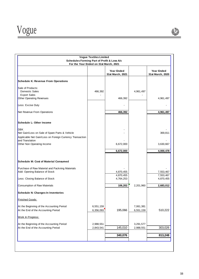| Schedules Forming Part of Profit & Loss A/c                                 | <b>Vogue Textiles Limited</b> |                                       |           |                                       |
|-----------------------------------------------------------------------------|-------------------------------|---------------------------------------|-----------|---------------------------------------|
| For the Year Ended on 31st March, 2021                                      |                               |                                       |           |                                       |
|                                                                             |                               | <b>Year Ended</b><br>31st March, 2021 |           | <b>Year Ended</b><br>31st March, 2020 |
| Schedule K: Revenue From Operations                                         |                               |                                       |           |                                       |
| Sale of Products:                                                           |                               |                                       |           |                                       |
| Domestic Sales                                                              | 466,392                       |                                       | 4,961,497 |                                       |
| <b>Export Sales</b>                                                         |                               |                                       |           |                                       |
| <b>Other Operating Revenues</b>                                             |                               | 466,392                               |           | 4,961,497                             |
| Less: Excise Duty                                                           |                               |                                       |           |                                       |
| Net Revenue From Operations                                                 |                               | 466,392                               |           | 4,961,497                             |
| Schedule L: Other Income                                                    |                               |                                       |           |                                       |
|                                                                             |                               |                                       |           |                                       |
| <b>IDBK</b>                                                                 |                               |                                       |           | 369,811                               |
| Net Gain/Loss on Sale of Spare Parts & Vehicle                              |                               |                                       |           |                                       |
| Applicable Net Gain/Loss on Foreign Currency Transaction<br>and Translation |                               |                                       |           |                                       |
| Other Non Operating Income                                                  |                               | 6,672,000                             |           | 3,630,667                             |
|                                                                             |                               | 6,672,000                             |           | 4,000,478                             |
|                                                                             |                               |                                       |           |                                       |
| <b>Schedule M: Cost of Material Consumed</b>                                |                               |                                       |           |                                       |
| Purchase of Raw Material and Packning Materials                             |                               |                                       |           |                                       |
| Add: Opening Balance of Stock                                               |                               | 4,870,455                             |           | 7,553,467                             |
|                                                                             |                               | 4,870,455                             |           | 7,553,467                             |
| Less: Closing Balance of Stock                                              |                               | 4,764,253                             |           | 4,870,455                             |
| Consumption of Raw Materials                                                |                               | 106,202                               | 2,201,960 | 2,683,012                             |
| Schedule N: Changes In Inventories                                          |                               |                                       |           |                                       |
| <b>Finished Goods:</b>                                                      |                               |                                       |           |                                       |
| At the Beginning of the Accounting Period                                   | 6,551,159                     |                                       | 7,061,381 |                                       |
| At the End of the Accounting Period                                         | 6,356,093                     | 195,066                               | 6,551,159 | 510,222                               |
| Work In Progress:                                                           |                               |                                       |           |                                       |
| At the Beginning of the Accounting Period                                   | 2,988,551                     |                                       | 3,291,577 |                                       |
| At the End of the Accounting Period                                         | 2,843,541                     | 145,010                               | 2,988,551 | 303,026                               |
|                                                                             |                               | 340,076                               |           | 813,248                               |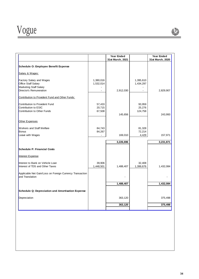| ٠ |
|---|
|   |
|   |
|   |
|   |
|   |
|   |
|   |
|   |
|   |

|                                                                             |                  | <b>Year Ended</b> |                   | <b>Year Ended</b> |
|-----------------------------------------------------------------------------|------------------|-------------------|-------------------|-------------------|
|                                                                             |                  | 31st March, 2021  |                   | 31st March, 2020  |
| Schedule O: Employee Benefit Expense                                        |                  |                   |                   |                   |
| Salary & Wages:                                                             |                  |                   |                   |                   |
| <b>Factory Salary and Wages</b>                                             | 1,380,016        |                   | 1,395,610         |                   |
| Office Staff Salary<br>Marketing Staff Salary                               | 1,532,014        |                   | 1,434,297         |                   |
| Director's Remuneration                                                     |                  | 2,912,030         |                   | 2,829,907         |
| Contribution to Provident Fund and Other Funds:                             |                  |                   |                   |                   |
| Contribution to Provident Fund                                              | 57,433           |                   | 93,959            |                   |
| Contribution to ESIC<br>Contribution to Other Funds                         | 20,715<br>67,508 |                   | 25,276<br>124,758 |                   |
|                                                                             |                  | 145,656           |                   | 243,993           |
| Other Expenses                                                              |                  |                   |                   |                   |
| <b>Workers and Staff Welfare</b>                                            | 84,743           |                   | 81,328            |                   |
| Bonus<br>Leave with Wages                                                   | 84,267           | 169,010           | 72,214<br>4,429   | 157,971           |
|                                                                             |                  |                   |                   |                   |
|                                                                             |                  | 3,226,696         |                   | 3,231,871         |
| Schedule P: Financial Costs                                                 |                  |                   |                   |                   |
| Interest Expense                                                            |                  |                   |                   |                   |
| Interest to Bank on Vehicle Loan                                            | 39,906           |                   | 32,408            |                   |
| Interest of TDS and Other Taxes                                             | 1,448,501        | 1,488,407         | 1,399,676         | 1,432,084         |
| Applicable Net Gain/Loss on Foreign Currency Transaction<br>and Translation |                  |                   |                   |                   |
|                                                                             |                  | 1,488,407         |                   | 1,432,084         |
| Schedule Q: Depreciation and Amortisation Expense                           |                  |                   |                   |                   |
| Depreciation                                                                |                  | 363,120           |                   | 375,498           |
|                                                                             |                  |                   |                   |                   |
|                                                                             |                  | 363,120           |                   | 375,498           |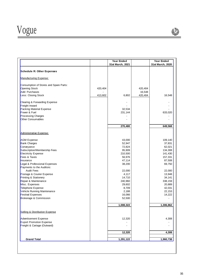

|                                           |         | <b>Year Ended</b> |         | Year Ended       |
|-------------------------------------------|---------|-------------------|---------|------------------|
|                                           |         | 31st March, 2021  |         | 31st March, 2020 |
|                                           |         |                   |         |                  |
| <b>Schedule R: Other Expenses</b>         |         |                   |         |                  |
| <b>Manufacturing Expense:</b>             |         |                   |         |                  |
| Consumption of Stores and Spare Parts:    |         |                   |         |                  |
| <b>Opening Stock</b>                      | 420,404 |                   | 420,404 |                  |
| Add: Purchases                            |         |                   | 16,548  |                  |
| Less: Closing Stock                       | 413,602 | 6,802             | 420,404 | 16,548           |
| Clearing & Forwarding Expense             |         |                   |         |                  |
| Freight Inward                            |         |                   |         |                  |
| Packing Material Expense                  |         | 32,534            |         |                  |
| Power & Fuel                              |         | 231,144           |         | 633,020          |
| <b>Processing Charges</b>                 |         |                   |         |                  |
| Other Consumables                         |         |                   |         |                  |
|                                           |         | 270,480           |         | 649,568          |
|                                           |         |                   |         |                  |
| Administrative Expense:                   |         |                   |         |                  |
| <b>AGM Expense</b>                        |         | 43,000            |         | 109,140          |
| <b>Bank Charges</b>                       |         | 52,947            |         | 37,831           |
| Conveyance                                |         | 72,824            |         | 62,021           |
| Subscription/Membership Fees              |         | 95,909            |         | 134,308          |
| <b>Electricity Expense</b>                |         | 210,500           |         | 141,430          |
| Fees & Taxes                              |         | 56,976            |         | 157,331          |
| Insurance                                 |         | 47,114            |         | 87,508           |
| Legal & Professional Expenses             |         | 38,200            |         | 69,750           |
| Payments to the Auditors:                 |         |                   |         |                  |
| <b>Audit Fees</b>                         |         | 22,000            |         | 22,000           |
| Postage & Courier Expense                 |         | 4,117             |         | 13,948           |
| Printing & Stationery                     |         | 14,710            |         | 34,141           |
| Repair & Maintenance                      |         | 240,960           |         | 338,159          |
| Misc. Expenses                            |         | 29,602            |         | 20,889           |
| Telephone Expense                         |         | 8,709             |         | 42,031           |
| Vehicle Running Maintenance               |         | 2,188             |         | 22,153           |
| <b>Festival Expenses</b>                  |         | 16,066            |         | 14,222           |
| Brokerage & Commission                    |         | 52,500            |         |                  |
|                                           |         | 1,008,322         |         | 1,306,862        |
|                                           |         |                   |         |                  |
| <b>Selling &amp; Distribution Expense</b> |         |                   |         |                  |
| Advertisement Expense                     |         | 12,320            |         | 4,308            |
| <b>Export Promotion Expense</b>           |         |                   |         |                  |
| Freight & Cartage (Outward)               |         |                   |         |                  |
|                                           |         | 12,320            |         | 4,308            |
|                                           |         |                   |         |                  |
| <b>Grand Total</b>                        |         | 1,291,122         |         | 1,960,738        |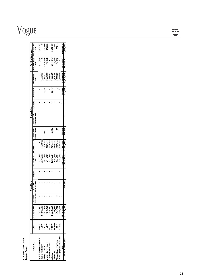|                                   |         |                     |                                                     | Block<br>Gross            |          |                         |                                  |                 | Depreciation                                    |            |              |                        | Written Down value                 |                             |
|-----------------------------------|---------|---------------------|-----------------------------------------------------|---------------------------|----------|-------------------------|----------------------------------|-----------------|-------------------------------------------------|------------|--------------|------------------------|------------------------------------|-----------------------------|
| Particulars                       | Rate    | As at April 1, 2020 | During the year during the year<br><b>Additions</b> | Adj.<br>Sale <sub>1</sub> | Deletion | As at March 31,<br>2021 | As at April 1, 2020 Depreciation | During the Year | <b>Retained Earning</b><br><b>Adjusted with</b> | Adjustment | For the year | Upto March 31,<br>2021 | <b>WDV</b> as on March<br>31, 2021 | WDV as on March<br>31, 2020 |
| and & Site Development            | $000\%$ | 2,713,783           |                                                     |                           |          | 2,713,783               |                                  |                 |                                                 |            |              |                        | 2,713,783                          | 2,713,783                   |
| Plant & Machinery                 | 4.75%   | 56,593,012          |                                                     |                           |          | 56,593,012              | 56,593,012                       |                 |                                                 |            |              | 56,593,012             |                                    |                             |
| <b>Building - Office</b>          | 1.63%   | 12,675,226          |                                                     |                           |          | 32,675,226              | 1,654,582                        | 326,350         |                                                 |            | 326,350      | 1,980,932              | 20,694,294                         | 21,020,644                  |
| Electric Installation             | 4.75%   | 3,846,428           |                                                     |                           |          | 3,846,428               | 3,654,106                        |                 |                                                 |            |              | 3,654,106              | 192,322                            | 192,322                     |
| Furniture & Fixtures              | 6.33%   | 2,129,985           |                                                     |                           |          | 2,129,985               | 2,129,985                        |                 |                                                 |            |              | 2,129,985              |                                    |                             |
| Vehicles                          | 9.50%   | 2,328,526           |                                                     |                           |          | 12,328,526              | 9,947,105                        | 36,615          |                                                 |            | 36,615       | 9,983,720              | 2,344,806                          | 2,381,421                   |
| Computers                         | 16.21%  | 5,705,880           |                                                     |                           |          | 5,705,880               | 5,696,386                        |                 |                                                 |            |              | 5,696,386              | 9,494                              | 9,494                       |
| <b>Airconditioners &amp; Fans</b> | 4.75%   | 2,381,382           |                                                     |                           |          | 2,381,382               | 2,303,168                        | 155             |                                                 |            | 155          | 2,303,323              | 78,059                             | 78,214                      |
| ffice Equipments & Others         | 4.75%   | 2,295,658           |                                                     |                           |          | 2,295,658               | 2,295,658                        |                 |                                                 |            |              | 2,295,658              |                                    |                             |
| Total                             |         | 120,669,880         |                                                     |                           |          | 120,669,880             | 94,274,001                       | 363,120         |                                                 |            | 363,120      | 94,637,121             | 26,032,759                         | 26,395,879                  |
| <b>Prevoius Year Figures</b>      |         | 121,015,069         |                                                     | 5,189<br>$\mathbf{a}$     |          | 120,669,880             | 93,898,503                       | 375,498         |                                                 |            | 375,498      | 94,274,001             | 26.395,879                         | 27,116,567                  |
|                                   |         |                     |                                                     |                           |          |                         |                                  |                 |                                                 |            |              |                        |                                    |                             |

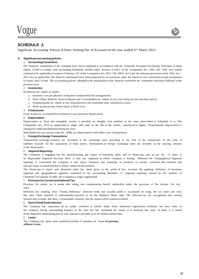Vogue



## **SCHEDULE J:**

Significant Accounting Policies & Notes forming Part of Accounts for the year ended 31<sup>st</sup> March 2021:

#### **A. Significant accountingpolicies**

#### 1. **Accounting Convention:**

The Financial statements of the company have been prepared in accordance with the Generally Accepted Accounting Principles in India (Indian GAAP to comply with accounting Standards notified under Section 211(3C) of the Companies Act, 1956 ('the 1956 Act) (which continue to be applicable in respect of Section 133 of the Companies Act, 2013 ("the 20013 Act") and the relevant provisions of the 1956 Act / 2013 Act, as applicable. The financial statements have been prepared on accrual basis under the historical cost convention except revaluation of certain plots of land. The accounting policies adopted in the preparation of the financial statement are consistent with those followed in the previous year.

#### 2. **Inventories:**

Inventories are valued as under:-

- a. Inventory is as per physical verification conducted by the management.
- b. Stock ofRaw Material, Stores & Spares and Consumables are valued at cost (cost being the last purchase price).
- c. Finished goods are valued at cost of production or net realizable value whicheveris lower.
- d. Work-in-process has been valued at direct cost.

#### 3. **Fixed assets:**

Fixed Assets are accounted for on historical cost basisless depreciation.

#### 4. **Depreciation:**

Depreciation on fixed and intangible assets is provided on Straight Line method, at the rates prescribed in Schedule I I to The Companies Act, 2013 as applicable to single shift units or the life of the assets, whichever is higher. Proportionate depreciation is charged for additions/deletions during the year.

Individually low cost assets( Upto Rs. 5,000) are depreciated in full within a year of acquisition.

#### 5. **ForeignExchangeTransactions:**

Transactions in foreign currency are recorded at the exchange rates prevailing at the time of the transaction. In the case of liabilities incurred for the acquisition of fixed assets, fluctuations in foreign exchange rates are included in the carrying amount of the fixed assets.

#### 6. **Segment Reporting:**

The Company is engaged into the manufacturing and export of furnishing fabric and its Made-ups, and as per AS 17, there is no Reportable Segment because there is only one segment in which company is dealing. Whereas the Geographical Segment reporting is concerned the company is into export business and exporting its products to various countries. But whereas the risk and return is concerned that is almost similar for all countries.

The break-ups of export and domestic sales has been given in the profit & loss account. By applying definition of business segment and geographical segment contained in the accounting Standard 17 segment reporting issued by the institute of Chartered Accountant of India, the Company is single segmented.

#### 7. **Provision for Current and Deferred Tax:**

Provision for current tax is made after taking into consideration benefit admissible under the provision of The Income Tax Act, 1961.

Deferred Tax resulting from "Timing Difference" between book and taxable profit is accounted for using the tax rates and laws that have been enacted or substantially enacted as on the Balance Sheet date. The deferred tax are recognized and carried forward only to extent that there is reasonable certainity that the assets will be realized in future.

#### 8. **Due toSmallScale Industry:**

The Company has requested all its sundry creditors to furnish Small Scale Industries registration certificate but since none of the creditors having outstanding balance at the year end has furnished the same, it is deemed that none of them is a Small Scale Industries undertaking and no such amount is payable as on the balance sheet date.

#### 9. **Lease:**

The Company has given some unutilized portions of premises on lease for generating additional revenue .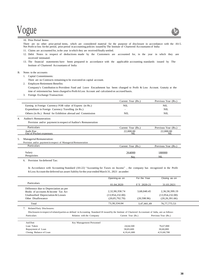

#### 10. Prior Period Items:

- There are no other prior period items, which are considered material for the purpose of disclosure in accordance with the AS-5. Net Profit or loss forthe period, prior period in accounting policies issued by The Institute of Chartered Accountants of India
- 11. Claims are accounted for, in the year in which they are received/finally settled.
- 12. Debit Notes in respect of deductions made by the Customers are accounted for, in the year in which they are received/ intimated.
- 13. The financial statements have been prepared in accordance with the applicable accounting standards issued by The Institute of Chartered Accountants of India

#### B. Notes to the accounts

1. Capital Commitments:

There are no Contracts remaining to be executed on capital account.

2. Employee Retirement Benefits: Company's Contribution to Provident Fund and Leave Encashment has been charged to Profit & Loss Account. Gratuity at the time of retirement has been charged to Profit & Loss Account and calculated on accrued basis.

3. Foreign Exchange Transaction:

|                                                             | Current Year $(Rs.)$     | Previous Year (Rs.) |
|-------------------------------------------------------------|--------------------------|---------------------|
| Earning in Foreign Currency FOB value of Exports (in Rs.)   | NIL                      | NIL                 |
| Expenditure in Foreign Currency Travelling (in Rs.)         | $\overline{\phantom{a}}$ | NIL                 |
| Others (in Rs.) Rental for Exhibition abroad and Commission | NIL                      | NIL                 |

4. Auditor's Remuneration:

Provision and/or payment in respect of Auditor's Remuneration

| $\alpha$ iii $\alpha$ is a                                                  | (Rs.<br>∕ear<br><b>Jurrent</b>                        | Y ear<br>KS.<br>Previous          |
|-----------------------------------------------------------------------------|-------------------------------------------------------|-----------------------------------|
| Audit<br>$\sim$<br>Fee<br>) 11 t<br>$\overline{\phantom{a}}$<br>$\sim$<br>. | $\sim$<br>$\sim$<br>റററ<br>$\cdot \cdot \cdot$<br>NIL | $\sim$<br>നല<br>.00<br><b>NIL</b> |

5. Managerial Remuneration:

| Provision and/or payment in respect of Managerial Remuneration |                    |                     |
|----------------------------------------------------------------|--------------------|---------------------|
| <b>Particulars</b>                                             | Current Year (Rs.) | Previous Year (Rs.) |
|                                                                |                    |                     |
| Salary                                                         | 264000             | 180000              |
| Perquisites                                                    | Nп                 | NIL                 |
| $\epsilon$ Description $\ell$ and $\ell$ and $\Gamma$          |                    |                     |

6. Provision for deferred Tax:

In Accordance with Accounting Standard (AS-22) "Accounting for Taxes on Income" , the company has recognized in the Profit & Loss Account the deferred tax asset/liability forthe year ended March 31, 2021 as under:

|                                       | Opening as on   | For the Year | Closing as on    |
|---------------------------------------|-----------------|--------------|------------------|
| <b>Particulars</b>                    | 01.04.2020      | F.Y. 2020-21 | 31.03.2021       |
| Difference due to Depreciation as per |                 |              |                  |
| Books of accounts & Income Tax Act    | 2,32,90,358.74  | 3,68,040.45  | 2,36,58,399.19   |
| Unabsorbed Depreciation & Losses      | (13,954,232.00) | ۰            | (13,954,232,00)  |
| Other Disallowance                    | (20.05,792.70)  | (20, 598.96) | (20, 26, 391.66) |
| Total                                 | 73, 30, 334.04  | 3,47,441,49  | 76, 77, 775.53   |

| Particulars             | Relation with the Company | Current Year (Rs.) | Previous Year (Rs.) |  |
|-------------------------|---------------------------|--------------------|---------------------|--|
|                         |                           |                    |                     |  |
| Anil Dutt               | Key Management Personnel  |                    |                     |  |
| Loan Taken              |                           | 24,64,500          | 76,67,000           |  |
| Repayment of Loan       |                           | 58,83,600          | 30,60,000           |  |
| Closing Balance of Loan |                           | 4,19,41,600        | 4,53,60,700         |  |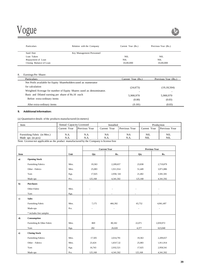| Particulars             | Relation with the Company | Current Year (Rs.) | Previous Year (Rs.) |
|-------------------------|---------------------------|--------------------|---------------------|
| Sunil Dutt              | Key Management Personnel  |                    |                     |
| Loan Taken              |                           | <b>NIL</b>         | NIL                 |
| Repayment of Loan       |                           | <b>NIL</b>         | NIL                 |
| Closing Balance of Loan |                           | 10,00,000          | 10,00,000           |

## 8. Earnings Per Share:

| Particulars                                                       | Current Year (Rs.) | Previous Year (Rs.) |
|-------------------------------------------------------------------|--------------------|---------------------|
| Net Profit available for Equity Shareholders used as numerator    |                    |                     |
| for calculation                                                   | (24, 673)          | (19, 18, 504)       |
| Weighted Average for number of Equity Shares used as denominator. | -                  |                     |
| Basic and Diluted earning per share of Rs.10 each                 | 5,900,970          | 5,900,970           |
| Before extra-ordinary items                                       | (0.00)             | (0.03)              |
| After extra-ordinary items                                        | (0.00)             | (0.03)              |

#### **9. Additional Information:**

(a) Quantitative details of the products manufactured (in meters)

| Item                                              |              | Annual Capacity Licensed |              | Installed     |                   | Production               |  |
|---------------------------------------------------|--------------|--------------------------|--------------|---------------|-------------------|--------------------------|--|
|                                                   | Current Year | <b>Previous Year</b>     | Current Year | Previous Year | Current Year      | Previous Year            |  |
| Furnishing Fabric (in Mtrs.)<br>Made ups (in pcs) | N.A.<br>N.A. | N.A.<br>N.A.             | NA<br>N.A.   | NA<br>N.A.    | <b>NIL</b><br>NIL | <b>NIL</b><br><b>NIL</b> |  |

Note: License not applicable as the product manufactured by the Company is license free

|          |                           |       | <b>Current Year</b> |                          |         | <b>Previous Year</b> |
|----------|---------------------------|-------|---------------------|--------------------------|---------|----------------------|
| Item     |                           | Unit  | Qty                 | Rs.                      | Qty     | Rs.                  |
| a)       | <b>Opening Stock</b>      |       |                     |                          |         |                      |
|          | <b>Furnishing Fabrics</b> | Mtrs. | 19,363              | 2,209,657                | 23,838  | 2,719,879            |
|          | Other - Fabrics           | Mtrs. | 25,083              | 1,911,914                | 51,449  | 3,971,886            |
|          | Yarn                      | Kgs.  | 17,025              | 2,958, 541               | 21,402  | 3,581,581            |
|          | Made ups                  | Pcs.  | 125,168             | 4,341,502                | 125,168 | 4,341,592            |
| $b$      | <b>Purchases</b>          |       |                     |                          |         |                      |
|          | Other-Fabric              | Mtrs. |                     |                          |         |                      |
|          | Yarn                      | Kgs.  |                     | $\overline{\phantom{a}}$ | ÷       | ÷.                   |
| $\bf c)$ | <b>Sales</b>              |       |                     |                          |         |                      |
|          | Furnishing Fabric         | Mtrs. | 7,175               | 466,392                  | 65,752  | 4,961,497            |
|          | Made-ups                  | Pcs.  |                     | ÷,                       |         |                      |
|          | * includes free samples   |       |                     |                          |         |                      |
| d)       | Consumption               |       |                     |                          |         |                      |
|          | Furnishing & Other Fabric | Mtrs. | 869                 | 80,182                   | 22,071  | 2,059,972            |
|          | Yarn                      | Kgs.  | 282                 | 26,020                   | 4,377   | 623,040              |
| $\bf e)$ | <b>Closing Stock</b>      |       |                     |                          |         |                      |
|          | <b>Furnishing Fabrics</b> | Mtrs. | 17,505              | 2,014,791                | 19,363  | 2,209,657            |
|          | Other - Fabrics           | Mtrs. | 23,424              | 1,8317,32                | 25,083  | 1,911,914            |
|          | Yarn                      | Kgs.  | 16,743              | 2,932,521                | 17,025  | 2,958,541            |
|          | Made ups                  | Pcs.  | 125,168             | 4,341,502                | 125,168 | 4,341,502            |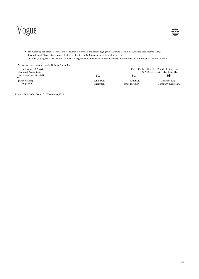Vogue

- 10. The Consumption of Raw Material and consumable stores are the balancing figure of Opening Stock plus Purchase (less returns, if any) less sales and Closing Stock as per physical verification by the Management at the end of the year.
- 11. Previous year figures have been rearranged and regrouped wherever considered necessary. Figures have been rounded off to nearest rupee.

| As per our report attached to the Balance Sheet. For      |                          |                             |                                                                         |
|-----------------------------------------------------------|--------------------------|-----------------------------|-------------------------------------------------------------------------|
| Nitin Kapoor & Associates<br><b>Chartered Accountants</b> |                          |                             | For & On behalf of the Board of Directors<br>For VOGUE TEXTILES LIMITED |
| Firm Regd. No.: $021107N$<br>Sd                           | $Sd/-$                   | Sd                          | $Sd$ /-                                                                 |
| (Nitin Kapoor)<br>Proprietor                              | Sunil Dutt<br>(Chairman) | Anil Dutt<br>(Mg. Director) | Jaswant Kaur<br>(Company Secretary)                                     |

Place: New Delhi, Date : 01st December, 2021